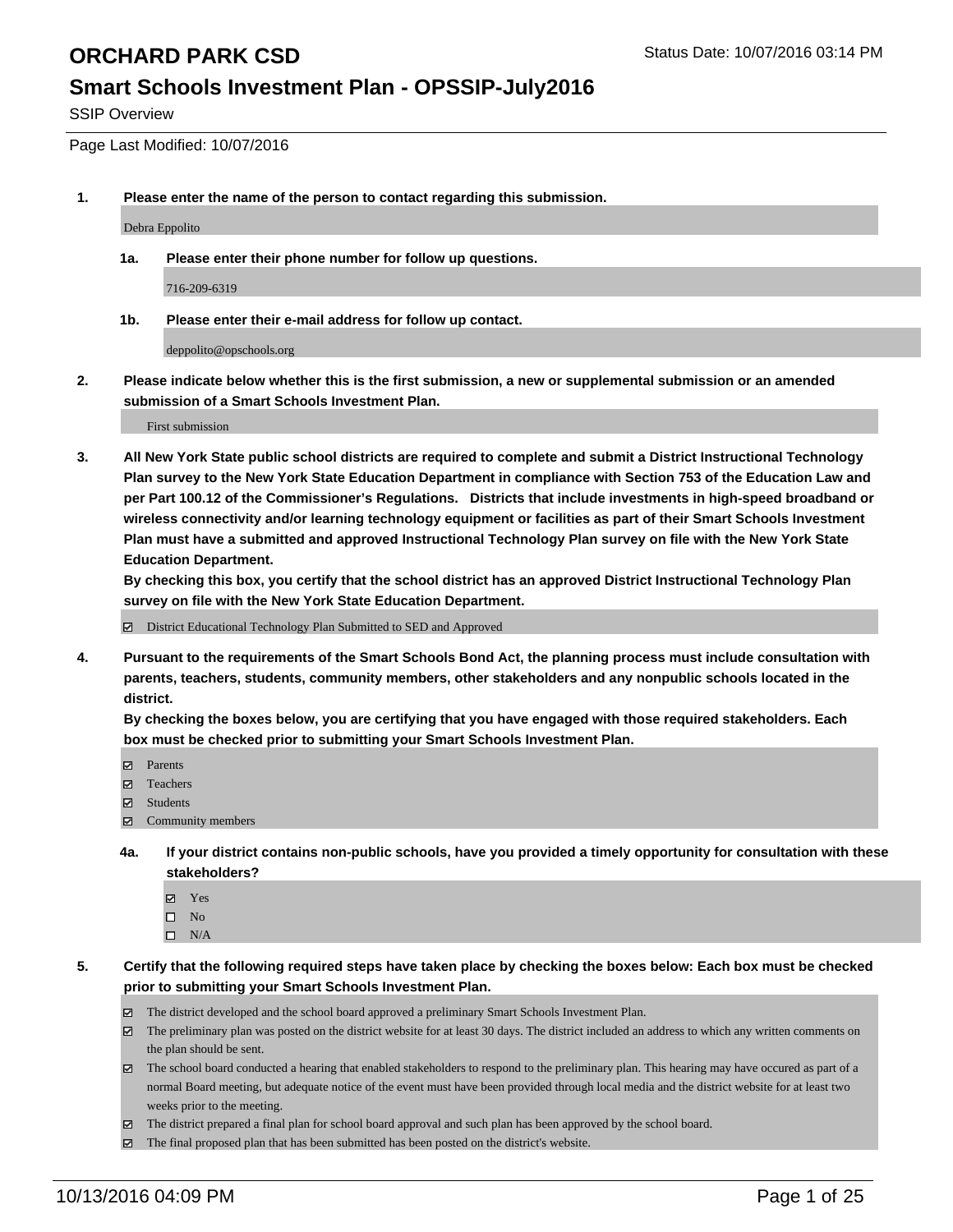#### **Smart Schools Investment Plan - OPSSIP-July2016**

SSIP Overview

Page Last Modified: 10/07/2016

**1. Please enter the name of the person to contact regarding this submission.**

Debra Eppolito

**1a. Please enter their phone number for follow up questions.**

716-209-6319

**1b. Please enter their e-mail address for follow up contact.**

deppolito@opschools.org

**2. Please indicate below whether this is the first submission, a new or supplemental submission or an amended submission of a Smart Schools Investment Plan.**

First submission

**3. All New York State public school districts are required to complete and submit a District Instructional Technology Plan survey to the New York State Education Department in compliance with Section 753 of the Education Law and per Part 100.12 of the Commissioner's Regulations. Districts that include investments in high-speed broadband or wireless connectivity and/or learning technology equipment or facilities as part of their Smart Schools Investment Plan must have a submitted and approved Instructional Technology Plan survey on file with the New York State Education Department.** 

**By checking this box, you certify that the school district has an approved District Instructional Technology Plan survey on file with the New York State Education Department.**

District Educational Technology Plan Submitted to SED and Approved

**4. Pursuant to the requirements of the Smart Schools Bond Act, the planning process must include consultation with parents, teachers, students, community members, other stakeholders and any nonpublic schools located in the district.** 

**By checking the boxes below, you are certifying that you have engaged with those required stakeholders. Each box must be checked prior to submitting your Smart Schools Investment Plan.**

- Parents
- Teachers
- $\boxtimes$  Students
- $\boxtimes$  Community members
- **4a. If your district contains non-public schools, have you provided a timely opportunity for consultation with these stakeholders?**
	- Yes  $\square$  No
	- $\square$  N/A
- **5. Certify that the following required steps have taken place by checking the boxes below: Each box must be checked prior to submitting your Smart Schools Investment Plan.**
	- The district developed and the school board approved a preliminary Smart Schools Investment Plan.
	- The preliminary plan was posted on the district website for at least 30 days. The district included an address to which any written comments on the plan should be sent.
	- $\boxtimes$  The school board conducted a hearing that enabled stakeholders to respond to the preliminary plan. This hearing may have occured as part of a normal Board meeting, but adequate notice of the event must have been provided through local media and the district website for at least two weeks prior to the meeting.
	- The district prepared a final plan for school board approval and such plan has been approved by the school board.
	- $\boxtimes$  The final proposed plan that has been submitted has been posted on the district's website.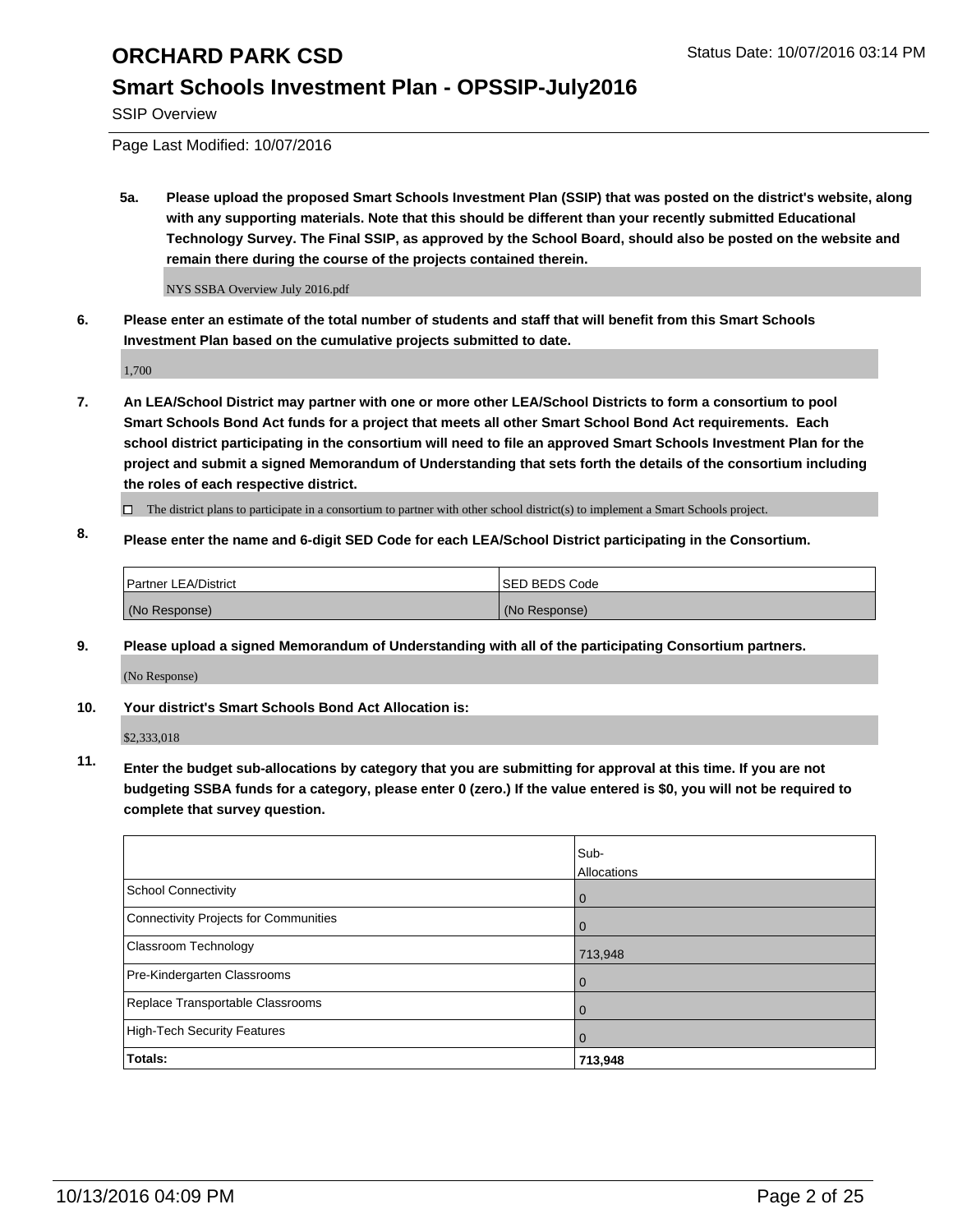## **Smart Schools Investment Plan - OPSSIP-July2016**

SSIP Overview

Page Last Modified: 10/07/2016

**5a. Please upload the proposed Smart Schools Investment Plan (SSIP) that was posted on the district's website, along with any supporting materials. Note that this should be different than your recently submitted Educational Technology Survey. The Final SSIP, as approved by the School Board, should also be posted on the website and remain there during the course of the projects contained therein.**

NYS SSBA Overview July 2016.pdf

**6. Please enter an estimate of the total number of students and staff that will benefit from this Smart Schools Investment Plan based on the cumulative projects submitted to date.**

1,700

- **7. An LEA/School District may partner with one or more other LEA/School Districts to form a consortium to pool Smart Schools Bond Act funds for a project that meets all other Smart School Bond Act requirements. Each school district participating in the consortium will need to file an approved Smart Schools Investment Plan for the project and submit a signed Memorandum of Understanding that sets forth the details of the consortium including the roles of each respective district.**
	- $\Box$  The district plans to participate in a consortium to partner with other school district(s) to implement a Smart Schools project.
- **8. Please enter the name and 6-digit SED Code for each LEA/School District participating in the Consortium.**

| Partner LEA/District | <b>ISED BEDS Code</b> |
|----------------------|-----------------------|
| (No Response)        | (No Response)         |

**9. Please upload a signed Memorandum of Understanding with all of the participating Consortium partners.**

(No Response)

#### **10. Your district's Smart Schools Bond Act Allocation is:**

\$2,333,018

**11. Enter the budget sub-allocations by category that you are submitting for approval at this time. If you are not budgeting SSBA funds for a category, please enter 0 (zero.) If the value entered is \$0, you will not be required to complete that survey question.**

|                                       | Sub-<br>Allocations |
|---------------------------------------|---------------------|
| <b>School Connectivity</b>            | 0                   |
| Connectivity Projects for Communities | 0                   |
| <b>Classroom Technology</b>           | 713,948             |
| Pre-Kindergarten Classrooms           | $\Omega$            |
| Replace Transportable Classrooms      | $\Omega$            |
| High-Tech Security Features           | $\Omega$            |
| Totals:                               | 713,948             |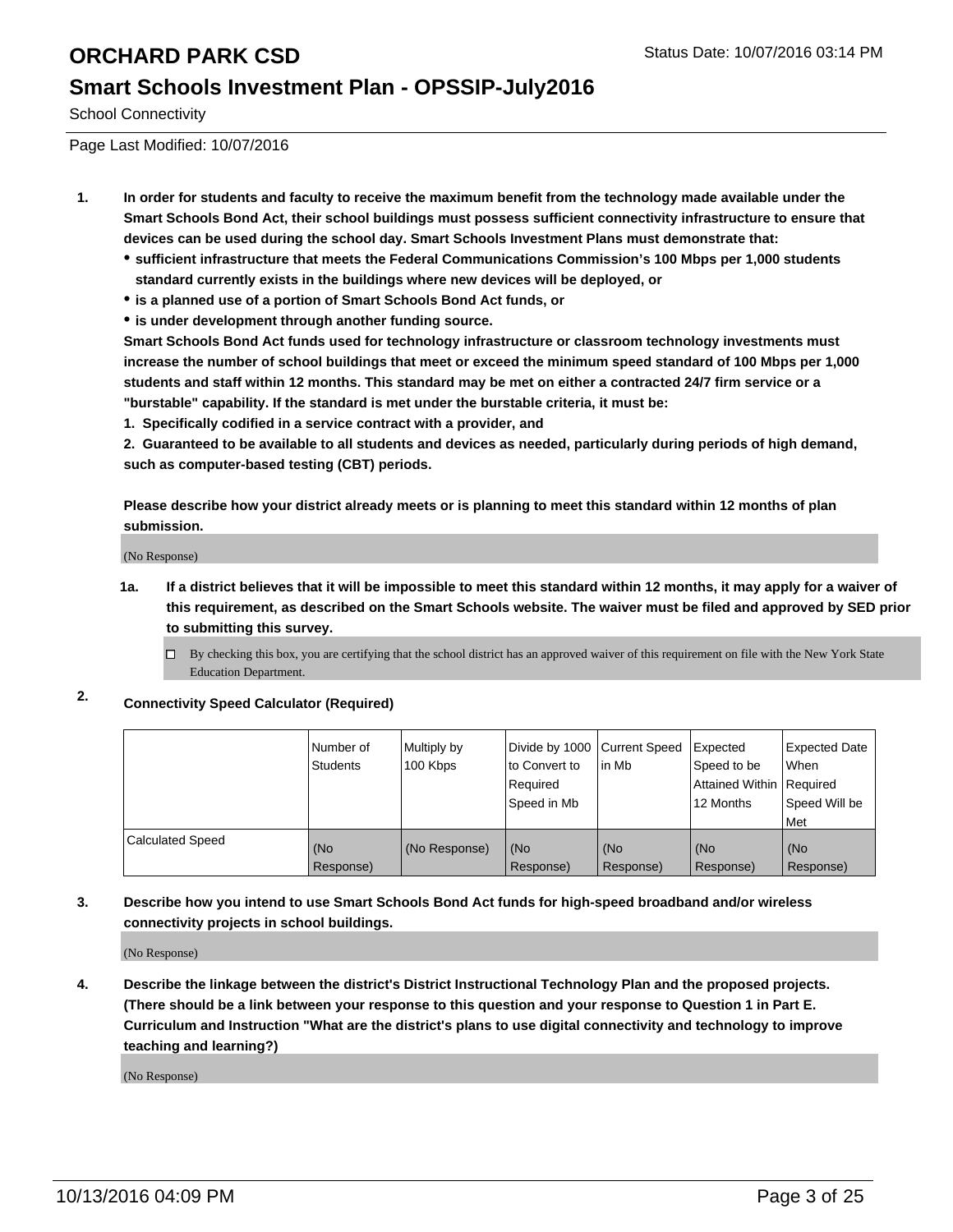#### **Smart Schools Investment Plan - OPSSIP-July2016**

School Connectivity

Page Last Modified: 10/07/2016

- **1. In order for students and faculty to receive the maximum benefit from the technology made available under the Smart Schools Bond Act, their school buildings must possess sufficient connectivity infrastructure to ensure that devices can be used during the school day. Smart Schools Investment Plans must demonstrate that:**
	- **sufficient infrastructure that meets the Federal Communications Commission's 100 Mbps per 1,000 students standard currently exists in the buildings where new devices will be deployed, or**
	- **is a planned use of a portion of Smart Schools Bond Act funds, or**
	- **is under development through another funding source.**

**Smart Schools Bond Act funds used for technology infrastructure or classroom technology investments must increase the number of school buildings that meet or exceed the minimum speed standard of 100 Mbps per 1,000 students and staff within 12 months. This standard may be met on either a contracted 24/7 firm service or a "burstable" capability. If the standard is met under the burstable criteria, it must be:**

**1. Specifically codified in a service contract with a provider, and**

**2. Guaranteed to be available to all students and devices as needed, particularly during periods of high demand, such as computer-based testing (CBT) periods.**

**Please describe how your district already meets or is planning to meet this standard within 12 months of plan submission.**

(No Response)

- **1a. If a district believes that it will be impossible to meet this standard within 12 months, it may apply for a waiver of this requirement, as described on the Smart Schools website. The waiver must be filed and approved by SED prior to submitting this survey.**
	- $\Box$  By checking this box, you are certifying that the school district has an approved waiver of this requirement on file with the New York State Education Department.
- **2. Connectivity Speed Calculator (Required)**

|                         | Number of<br><b>Students</b> | Multiply by<br>100 Kbps | Divide by 1000 Current Speed<br>to Convert to<br>Required<br>Speed in Mb | lin Mb           | Expected<br>Speed to be<br>Attained Within Required<br>12 Months | Expected Date<br>l When<br>Speed Will be<br>l Met |
|-------------------------|------------------------------|-------------------------|--------------------------------------------------------------------------|------------------|------------------------------------------------------------------|---------------------------------------------------|
| <b>Calculated Speed</b> | (No<br>Response)             | (No Response)           | (No<br>Response)                                                         | (No<br>Response) | (No<br>Response)                                                 | (No<br>Response)                                  |

#### **3. Describe how you intend to use Smart Schools Bond Act funds for high-speed broadband and/or wireless connectivity projects in school buildings.**

(No Response)

**4. Describe the linkage between the district's District Instructional Technology Plan and the proposed projects. (There should be a link between your response to this question and your response to Question 1 in Part E. Curriculum and Instruction "What are the district's plans to use digital connectivity and technology to improve teaching and learning?)**

(No Response)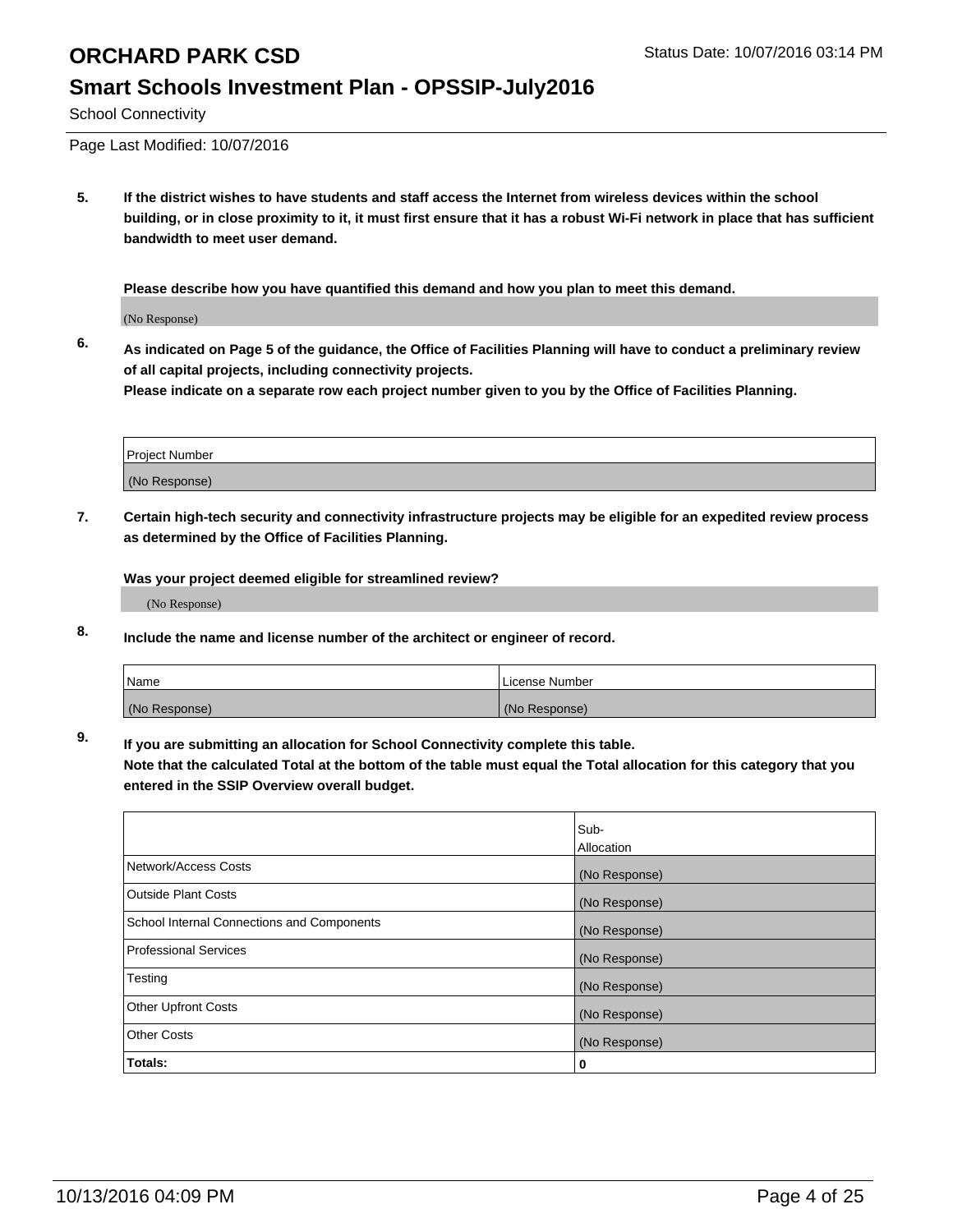### **Smart Schools Investment Plan - OPSSIP-July2016**

School Connectivity

Page Last Modified: 10/07/2016

**5. If the district wishes to have students and staff access the Internet from wireless devices within the school building, or in close proximity to it, it must first ensure that it has a robust Wi-Fi network in place that has sufficient bandwidth to meet user demand.**

**Please describe how you have quantified this demand and how you plan to meet this demand.**

(No Response)

**6. As indicated on Page 5 of the guidance, the Office of Facilities Planning will have to conduct a preliminary review of all capital projects, including connectivity projects.**

**Please indicate on a separate row each project number given to you by the Office of Facilities Planning.**

| Project Number |  |
|----------------|--|
| (No Response)  |  |

**7. Certain high-tech security and connectivity infrastructure projects may be eligible for an expedited review process as determined by the Office of Facilities Planning.**

**Was your project deemed eligible for streamlined review?**

(No Response)

**8. Include the name and license number of the architect or engineer of record.**

| <b>Name</b>   | License Number |
|---------------|----------------|
| (No Response) | (No Response)  |

**9. If you are submitting an allocation for School Connectivity complete this table.**

**Note that the calculated Total at the bottom of the table must equal the Total allocation for this category that you entered in the SSIP Overview overall budget.** 

|                                            | Sub-          |
|--------------------------------------------|---------------|
|                                            | Allocation    |
| Network/Access Costs                       | (No Response) |
| <b>Outside Plant Costs</b>                 | (No Response) |
| School Internal Connections and Components | (No Response) |
| <b>Professional Services</b>               | (No Response) |
| Testing                                    | (No Response) |
| <b>Other Upfront Costs</b>                 | (No Response) |
| <b>Other Costs</b>                         | (No Response) |
| Totals:                                    | 0             |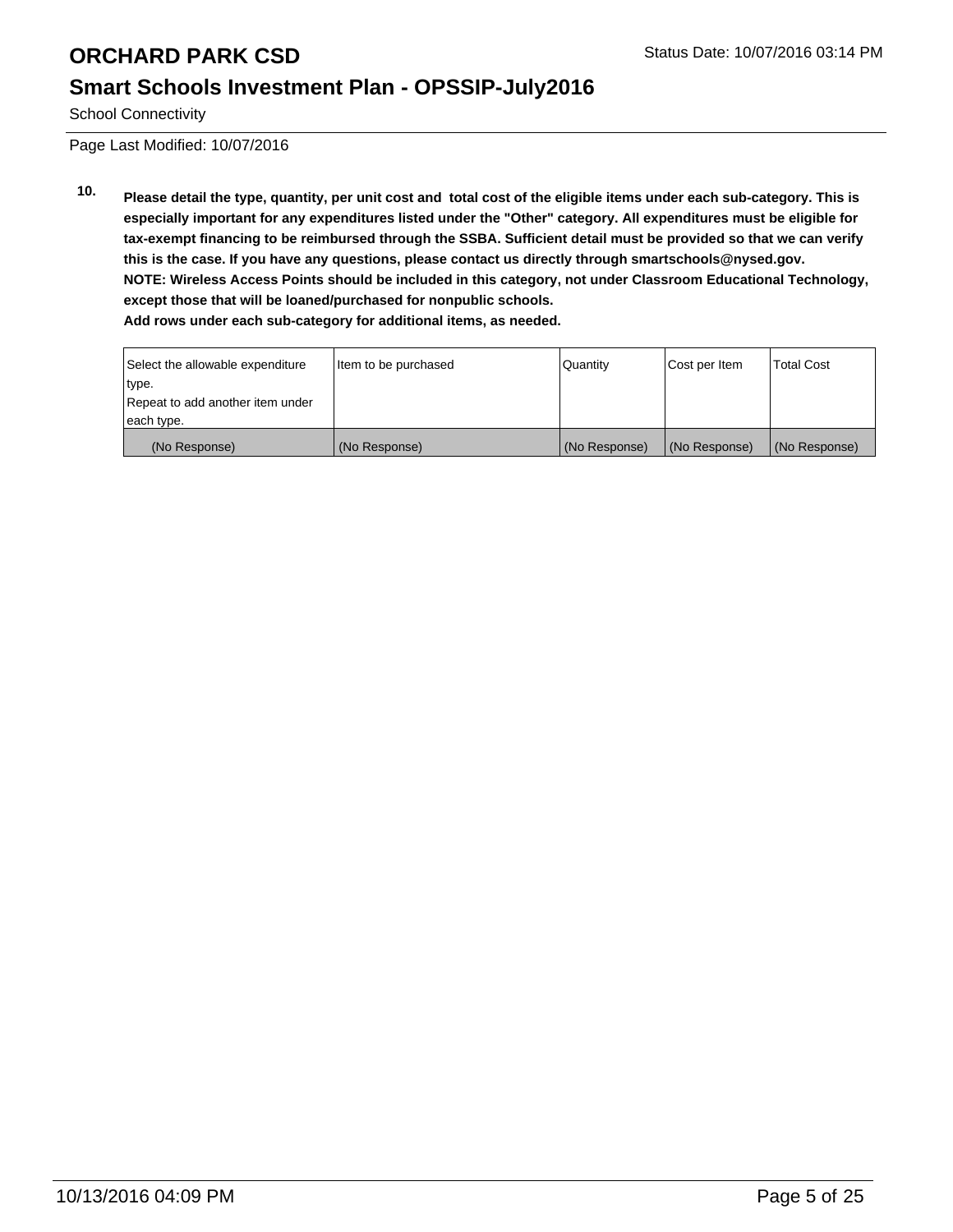## **Smart Schools Investment Plan - OPSSIP-July2016**

School Connectivity

Page Last Modified: 10/07/2016

**10. Please detail the type, quantity, per unit cost and total cost of the eligible items under each sub-category. This is especially important for any expenditures listed under the "Other" category. All expenditures must be eligible for tax-exempt financing to be reimbursed through the SSBA. Sufficient detail must be provided so that we can verify this is the case. If you have any questions, please contact us directly through smartschools@nysed.gov. NOTE: Wireless Access Points should be included in this category, not under Classroom Educational Technology, except those that will be loaned/purchased for nonpublic schools. Add rows under each sub-category for additional items, as needed.**

| Select the allowable expenditure | Item to be purchased | <b>Quantity</b> | Cost per Item | <b>Total Cost</b> |
|----------------------------------|----------------------|-----------------|---------------|-------------------|
| type.                            |                      |                 |               |                   |
| Repeat to add another item under |                      |                 |               |                   |
| each type.                       |                      |                 |               |                   |
| (No Response)                    | (No Response)        | (No Response)   | (No Response) | (No Response)     |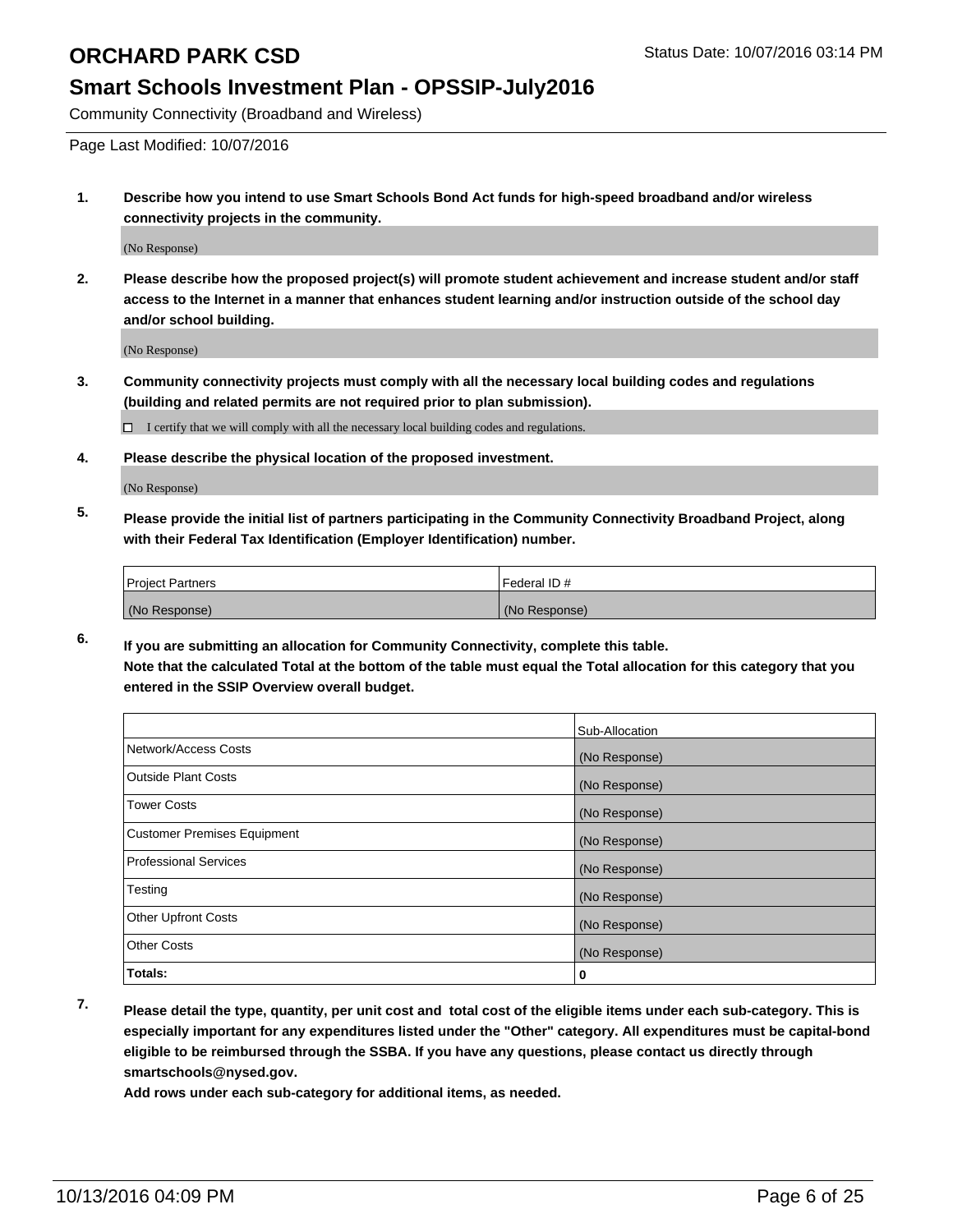#### **Smart Schools Investment Plan - OPSSIP-July2016**

Community Connectivity (Broadband and Wireless)

Page Last Modified: 10/07/2016

**1. Describe how you intend to use Smart Schools Bond Act funds for high-speed broadband and/or wireless connectivity projects in the community.**

(No Response)

**2. Please describe how the proposed project(s) will promote student achievement and increase student and/or staff access to the Internet in a manner that enhances student learning and/or instruction outside of the school day and/or school building.**

(No Response)

**3. Community connectivity projects must comply with all the necessary local building codes and regulations (building and related permits are not required prior to plan submission).**

 $\Box$  I certify that we will comply with all the necessary local building codes and regulations.

**4. Please describe the physical location of the proposed investment.**

(No Response)

**5. Please provide the initial list of partners participating in the Community Connectivity Broadband Project, along with their Federal Tax Identification (Employer Identification) number.**

| <b>Project Partners</b> | Federal ID#   |
|-------------------------|---------------|
| (No Response)           | (No Response) |

**6. If you are submitting an allocation for Community Connectivity, complete this table. Note that the calculated Total at the bottom of the table must equal the Total allocation for this category that you entered in the SSIP Overview overall budget.**

|                                    | Sub-Allocation |
|------------------------------------|----------------|
| Network/Access Costs               | (No Response)  |
| <b>Outside Plant Costs</b>         | (No Response)  |
| Tower Costs                        | (No Response)  |
| <b>Customer Premises Equipment</b> | (No Response)  |
| <b>Professional Services</b>       | (No Response)  |
| Testing                            | (No Response)  |
| <b>Other Upfront Costs</b>         | (No Response)  |
| <b>Other Costs</b>                 | (No Response)  |
| Totals:                            | 0              |

**7. Please detail the type, quantity, per unit cost and total cost of the eligible items under each sub-category. This is especially important for any expenditures listed under the "Other" category. All expenditures must be capital-bond eligible to be reimbursed through the SSBA. If you have any questions, please contact us directly through smartschools@nysed.gov.**

**Add rows under each sub-category for additional items, as needed.**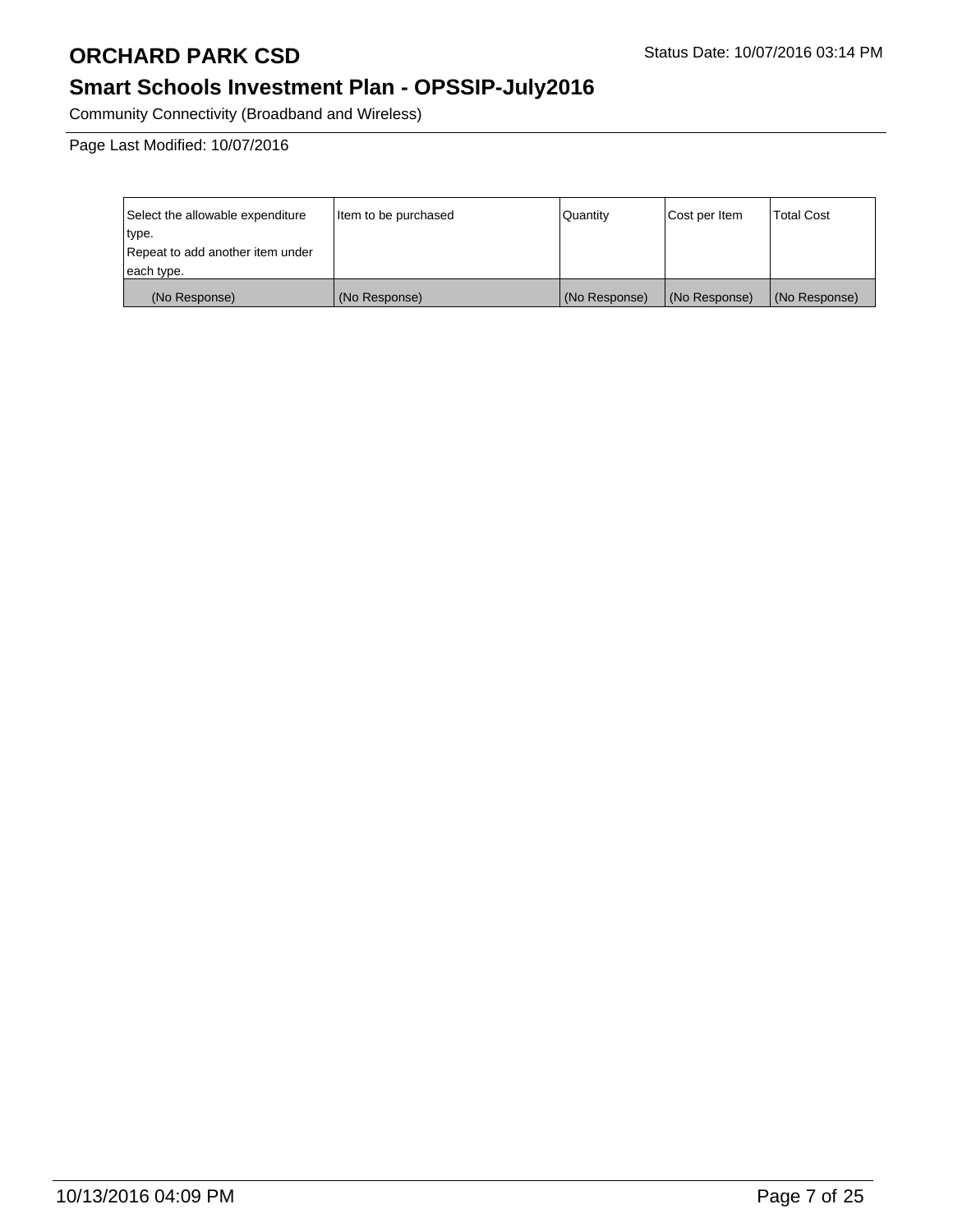# **Smart Schools Investment Plan - OPSSIP-July2016**

Community Connectivity (Broadband and Wireless)

Page Last Modified: 10/07/2016

| Select the allowable expenditure | Item to be purchased | Quantity      | Cost per Item | <b>Total Cost</b> |
|----------------------------------|----------------------|---------------|---------------|-------------------|
| type.                            |                      |               |               |                   |
| Repeat to add another item under |                      |               |               |                   |
| each type.                       |                      |               |               |                   |
| (No Response)                    | (No Response)        | (No Response) | (No Response) | (No Response)     |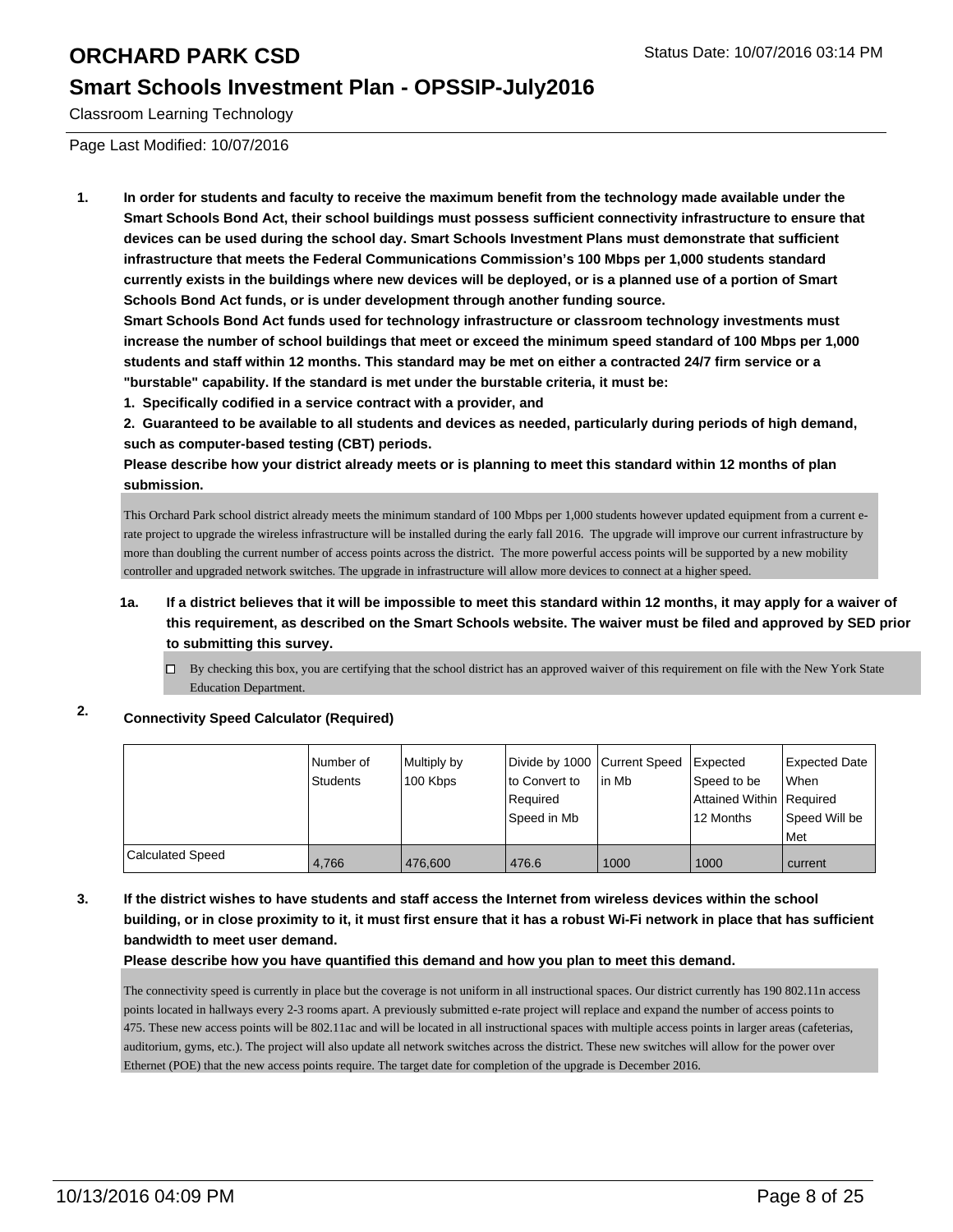#### **Smart Schools Investment Plan - OPSSIP-July2016**

Classroom Learning Technology

Page Last Modified: 10/07/2016

**1. In order for students and faculty to receive the maximum benefit from the technology made available under the Smart Schools Bond Act, their school buildings must possess sufficient connectivity infrastructure to ensure that devices can be used during the school day. Smart Schools Investment Plans must demonstrate that sufficient infrastructure that meets the Federal Communications Commission's 100 Mbps per 1,000 students standard currently exists in the buildings where new devices will be deployed, or is a planned use of a portion of Smart Schools Bond Act funds, or is under development through another funding source.**

**Smart Schools Bond Act funds used for technology infrastructure or classroom technology investments must increase the number of school buildings that meet or exceed the minimum speed standard of 100 Mbps per 1,000 students and staff within 12 months. This standard may be met on either a contracted 24/7 firm service or a "burstable" capability. If the standard is met under the burstable criteria, it must be:**

**1. Specifically codified in a service contract with a provider, and**

**2. Guaranteed to be available to all students and devices as needed, particularly during periods of high demand, such as computer-based testing (CBT) periods.**

**Please describe how your district already meets or is planning to meet this standard within 12 months of plan submission.**

This Orchard Park school district already meets the minimum standard of 100 Mbps per 1,000 students however updated equipment from a current erate project to upgrade the wireless infrastructure will be installed during the early fall 2016. The upgrade will improve our current infrastructure by more than doubling the current number of access points across the district. The more powerful access points will be supported by a new mobility controller and upgraded network switches. The upgrade in infrastructure will allow more devices to connect at a higher speed.

#### **1a. If a district believes that it will be impossible to meet this standard within 12 months, it may apply for a waiver of this requirement, as described on the Smart Schools website. The waiver must be filed and approved by SED prior to submitting this survey.**

By checking this box, you are certifying that the school district has an approved waiver of this requirement on file with the New York State  $\Box$ Education Department.

### **2. Connectivity Speed Calculator (Required)**

|                  | l Number of<br>Students | Multiply by<br>100 Kbps | Divide by 1000 Current Speed Expected<br>lto Convert to<br>Required<br>Speed in Mb | l in Mb | Speed to be<br>Attained Within   Required<br>12 Months | Expected Date<br><b>When</b><br>Speed Will be<br>Met |
|------------------|-------------------------|-------------------------|------------------------------------------------------------------------------------|---------|--------------------------------------------------------|------------------------------------------------------|
| Calculated Speed | 4.766                   | 476,600                 | 476.6                                                                              | 1000    | 1000                                                   | current                                              |

#### **3. If the district wishes to have students and staff access the Internet from wireless devices within the school building, or in close proximity to it, it must first ensure that it has a robust Wi-Fi network in place that has sufficient bandwidth to meet user demand.**

**Please describe how you have quantified this demand and how you plan to meet this demand.**

The connectivity speed is currently in place but the coverage is not uniform in all instructional spaces. Our district currently has 190 802.11n access points located in hallways every 2-3 rooms apart. A previously submitted e-rate project will replace and expand the number of access points to 475. These new access points will be 802.11ac and will be located in all instructional spaces with multiple access points in larger areas (cafeterias, auditorium, gyms, etc.). The project will also update all network switches across the district. These new switches will allow for the power over Ethernet (POE) that the new access points require. The target date for completion of the upgrade is December 2016.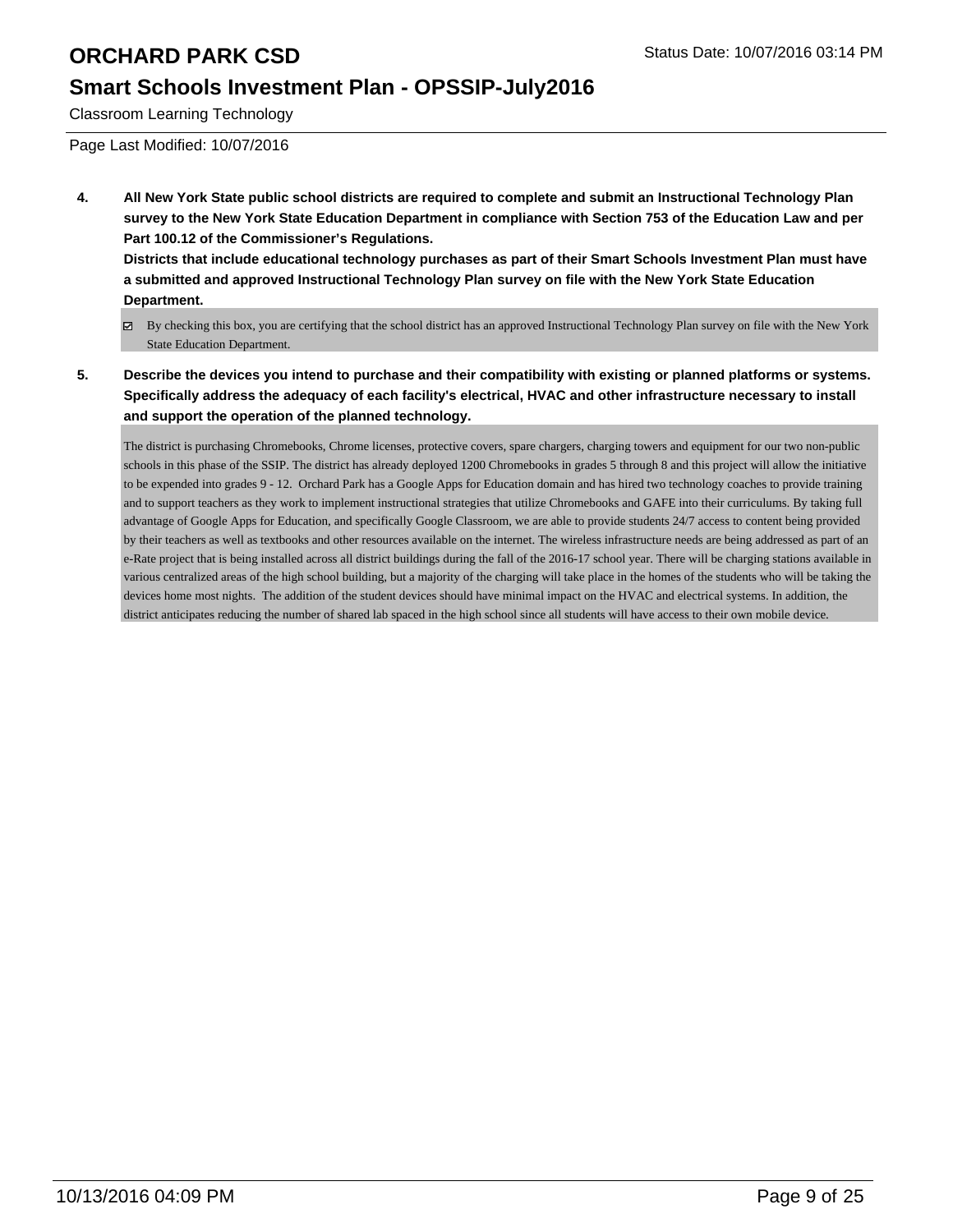## **Smart Schools Investment Plan - OPSSIP-July2016**

Classroom Learning Technology

Page Last Modified: 10/07/2016

**4. All New York State public school districts are required to complete and submit an Instructional Technology Plan survey to the New York State Education Department in compliance with Section 753 of the Education Law and per Part 100.12 of the Commissioner's Regulations.**

**Districts that include educational technology purchases as part of their Smart Schools Investment Plan must have a submitted and approved Instructional Technology Plan survey on file with the New York State Education Department.**

- By checking this box, you are certifying that the school district has an approved Instructional Technology Plan survey on file with the New York State Education Department.
- **5. Describe the devices you intend to purchase and their compatibility with existing or planned platforms or systems. Specifically address the adequacy of each facility's electrical, HVAC and other infrastructure necessary to install and support the operation of the planned technology.**

The district is purchasing Chromebooks, Chrome licenses, protective covers, spare chargers, charging towers and equipment for our two non-public schools in this phase of the SSIP. The district has already deployed 1200 Chromebooks in grades 5 through 8 and this project will allow the initiative to be expended into grades 9 - 12. Orchard Park has a Google Apps for Education domain and has hired two technology coaches to provide training and to support teachers as they work to implement instructional strategies that utilize Chromebooks and GAFE into their curriculums. By taking full advantage of Google Apps for Education, and specifically Google Classroom, we are able to provide students 24/7 access to content being provided by their teachers as well as textbooks and other resources available on the internet. The wireless infrastructure needs are being addressed as part of an e-Rate project that is being installed across all district buildings during the fall of the 2016-17 school year. There will be charging stations available in various centralized areas of the high school building, but a majority of the charging will take place in the homes of the students who will be taking the devices home most nights. The addition of the student devices should have minimal impact on the HVAC and electrical systems. In addition, the district anticipates reducing the number of shared lab spaced in the high school since all students will have access to their own mobile device.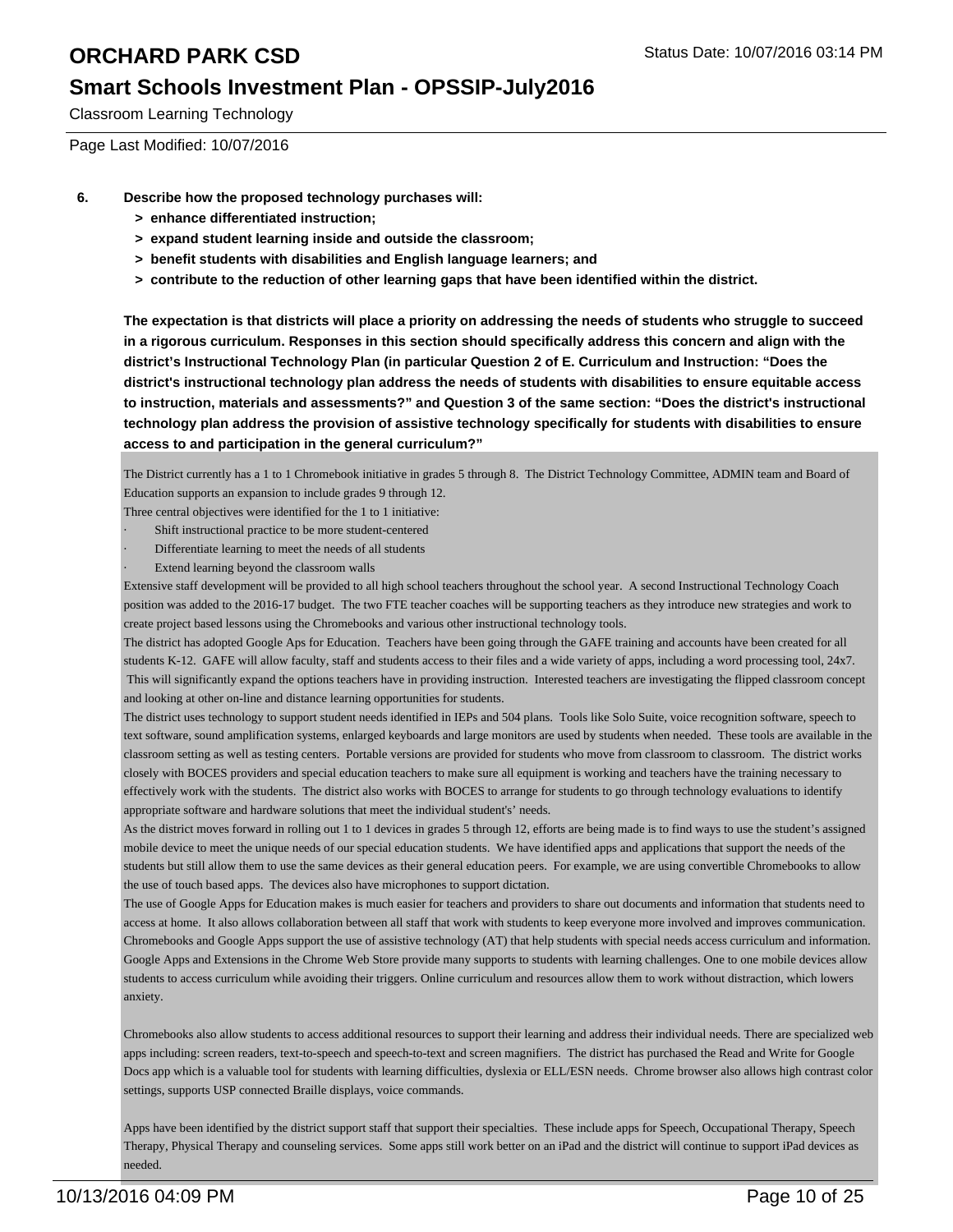### **Smart Schools Investment Plan - OPSSIP-July2016**

Classroom Learning Technology

Page Last Modified: 10/07/2016

- **6. Describe how the proposed technology purchases will:**
	- **> enhance differentiated instruction;**
	- **> expand student learning inside and outside the classroom;**
	- **> benefit students with disabilities and English language learners; and**
	- **> contribute to the reduction of other learning gaps that have been identified within the district.**

**The expectation is that districts will place a priority on addressing the needs of students who struggle to succeed in a rigorous curriculum. Responses in this section should specifically address this concern and align with the district's Instructional Technology Plan (in particular Question 2 of E. Curriculum and Instruction: "Does the district's instructional technology plan address the needs of students with disabilities to ensure equitable access to instruction, materials and assessments?" and Question 3 of the same section: "Does the district's instructional technology plan address the provision of assistive technology specifically for students with disabilities to ensure access to and participation in the general curriculum?"**

The District currently has a 1 to 1 Chromebook initiative in grades 5 through 8. The District Technology Committee, ADMIN team and Board of Education supports an expansion to include grades 9 through 12.

Three central objectives were identified for the 1 to 1 initiative:

- Shift instructional practice to be more student-centered
- Differentiate learning to meet the needs of all students
- Extend learning beyond the classroom walls

Extensive staff development will be provided to all high school teachers throughout the school year. A second Instructional Technology Coach position was added to the 2016-17 budget. The two FTE teacher coaches will be supporting teachers as they introduce new strategies and work to create project based lessons using the Chromebooks and various other instructional technology tools.

The district has adopted Google Aps for Education. Teachers have been going through the GAFE training and accounts have been created for all students K-12. GAFE will allow faculty, staff and students access to their files and a wide variety of apps, including a word processing tool, 24x7. This will significantly expand the options teachers have in providing instruction. Interested teachers are investigating the flipped classroom concept and looking at other on-line and distance learning opportunities for students.

The district uses technology to support student needs identified in IEPs and 504 plans. Tools like Solo Suite, voice recognition software, speech to text software, sound amplification systems, enlarged keyboards and large monitors are used by students when needed. These tools are available in the classroom setting as well as testing centers. Portable versions are provided for students who move from classroom to classroom. The district works closely with BOCES providers and special education teachers to make sure all equipment is working and teachers have the training necessary to effectively work with the students. The district also works with BOCES to arrange for students to go through technology evaluations to identify appropriate software and hardware solutions that meet the individual student's' needs.

As the district moves forward in rolling out 1 to 1 devices in grades 5 through 12, efforts are being made is to find ways to use the student's assigned mobile device to meet the unique needs of our special education students. We have identified apps and applications that support the needs of the students but still allow them to use the same devices as their general education peers. For example, we are using convertible Chromebooks to allow the use of touch based apps. The devices also have microphones to support dictation.

The use of Google Apps for Education makes is much easier for teachers and providers to share out documents and information that students need to access at home. It also allows collaboration between all staff that work with students to keep everyone more involved and improves communication. Chromebooks and Google Apps support the use of assistive technology (AT) that help students with special needs access curriculum and information. Google Apps and Extensions in the Chrome Web Store provide many supports to students with learning challenges. One to one mobile devices allow students to access curriculum while avoiding their triggers. Online curriculum and resources allow them to work without distraction, which lowers anxiety.

Chromebooks also allow students to access additional resources to support their learning and address their individual needs. There are specialized web apps including: screen readers, text-to-speech and speech-to-text and screen magnifiers. The district has purchased the Read and Write for Google Docs app which is a valuable tool for students with learning difficulties, dyslexia or ELL/ESN needs. Chrome browser also allows high contrast color settings, supports USP connected Braille displays, voice commands.

Apps have been identified by the district support staff that support their specialties. These include apps for Speech, Occupational Therapy, Speech Therapy, Physical Therapy and counseling services. Some apps still work better on an iPad and the district will continue to support iPad devices as needed.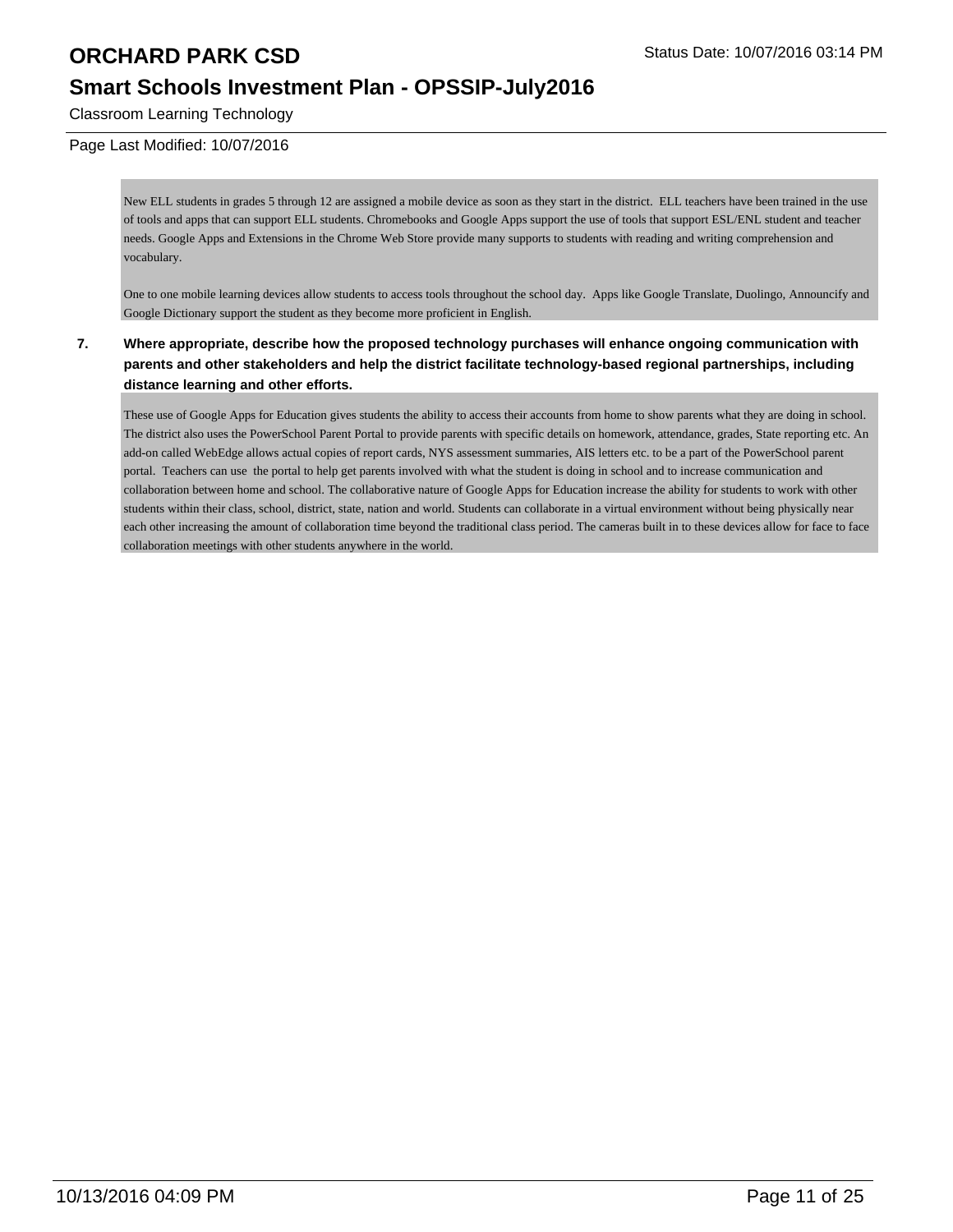## **Smart Schools Investment Plan - OPSSIP-July2016**

Classroom Learning Technology

#### Page Last Modified: 10/07/2016

New ELL students in grades 5 through 12 are assigned a mobile device as soon as they start in the district. ELL teachers have been trained in the use of tools and apps that can support ELL students. Chromebooks and Google Apps support the use of tools that support ESL/ENL student and teacher needs. Google Apps and Extensions in the Chrome Web Store provide many supports to students with reading and writing comprehension and vocabulary.

One to one mobile learning devices allow students to access tools throughout the school day. Apps like Google Translate, Duolingo, Announcify and Google Dictionary support the student as they become more proficient in English.

#### **7. Where appropriate, describe how the proposed technology purchases will enhance ongoing communication with parents and other stakeholders and help the district facilitate technology-based regional partnerships, including distance learning and other efforts.**

These use of Google Apps for Education gives students the ability to access their accounts from home to show parents what they are doing in school. The district also uses the PowerSchool Parent Portal to provide parents with specific details on homework, attendance, grades, State reporting etc. An add-on called WebEdge allows actual copies of report cards, NYS assessment summaries, AIS letters etc. to be a part of the PowerSchool parent portal. Teachers can use the portal to help get parents involved with what the student is doing in school and to increase communication and collaboration between home and school. The collaborative nature of Google Apps for Education increase the ability for students to work with other students within their class, school, district, state, nation and world. Students can collaborate in a virtual environment without being physically near each other increasing the amount of collaboration time beyond the traditional class period. The cameras built in to these devices allow for face to face collaboration meetings with other students anywhere in the world.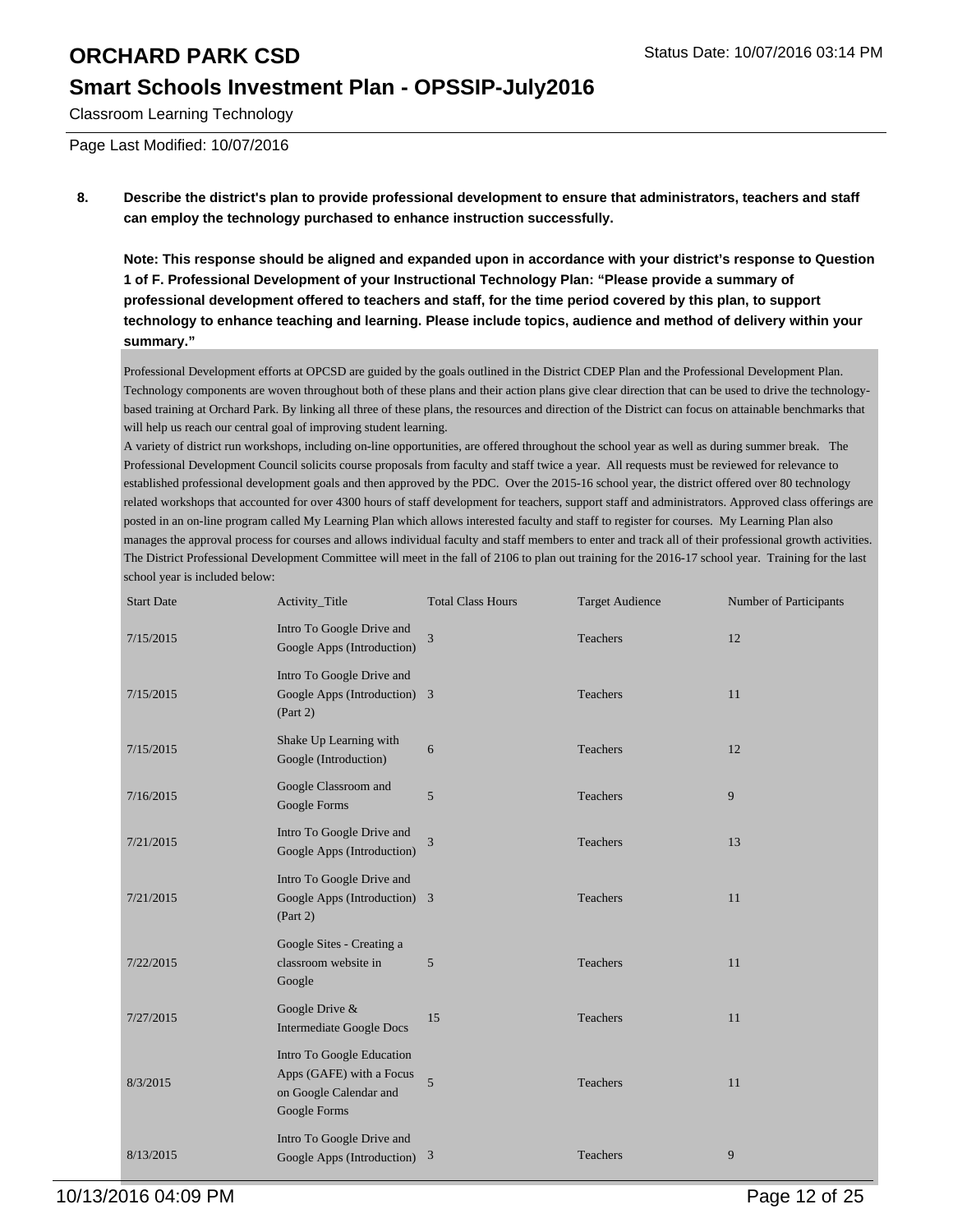### **Smart Schools Investment Plan - OPSSIP-July2016**

Classroom Learning Technology

Page Last Modified: 10/07/2016

**8. Describe the district's plan to provide professional development to ensure that administrators, teachers and staff can employ the technology purchased to enhance instruction successfully.**

**Note: This response should be aligned and expanded upon in accordance with your district's response to Question 1 of F. Professional Development of your Instructional Technology Plan: "Please provide a summary of professional development offered to teachers and staff, for the time period covered by this plan, to support technology to enhance teaching and learning. Please include topics, audience and method of delivery within your summary."**

Professional Development efforts at OPCSD are guided by the goals outlined in the District CDEP Plan and the Professional Development Plan. Technology components are woven throughout both of these plans and their action plans give clear direction that can be used to drive the technologybased training at Orchard Park. By linking all three of these plans, the resources and direction of the District can focus on attainable benchmarks that will help us reach our central goal of improving student learning.

A variety of district run workshops, including on-line opportunities, are offered throughout the school year as well as during summer break. The Professional Development Council solicits course proposals from faculty and staff twice a year. All requests must be reviewed for relevance to established professional development goals and then approved by the PDC. Over the 2015-16 school year, the district offered over 80 technology related workshops that accounted for over 4300 hours of staff development for teachers, support staff and administrators. Approved class offerings are posted in an on-line program called My Learning Plan which allows interested faculty and staff to register for courses. My Learning Plan also manages the approval process for courses and allows individual faculty and staff members to enter and track all of their professional growth activities. The District Professional Development Committee will meet in the fall of 2106 to plan out training for the 2016-17 school year. Training for the last school year is included below:

| <b>Start Date</b> | Activity_Title                                                                                  | <b>Total Class Hours</b> | <b>Target Audience</b> | Number of Participants |
|-------------------|-------------------------------------------------------------------------------------------------|--------------------------|------------------------|------------------------|
| 7/15/2015         | Intro To Google Drive and<br>Google Apps (Introduction)                                         | 3                        | Teachers               | 12                     |
| 7/15/2015         | Intro To Google Drive and<br>Google Apps (Introduction) 3<br>(Part 2)                           |                          | Teachers               | 11                     |
| 7/15/2015         | Shake Up Learning with<br>Google (Introduction)                                                 | 6                        | Teachers               | 12                     |
| 7/16/2015         | Google Classroom and<br>Google Forms                                                            | 5                        | Teachers               | 9                      |
| 7/21/2015         | Intro To Google Drive and<br>Google Apps (Introduction)                                         | 3                        | Teachers               | 13                     |
| 7/21/2015         | Intro To Google Drive and<br>Google Apps (Introduction) 3<br>(Part 2)                           |                          | Teachers               | 11                     |
| 7/22/2015         | Google Sites - Creating a<br>classroom website in<br>Google                                     | 5                        | Teachers               | 11                     |
| 7/27/2015         | Google Drive &<br><b>Intermediate Google Docs</b>                                               | 15                       | Teachers               | 11                     |
| 8/3/2015          | Intro To Google Education<br>Apps (GAFE) with a Focus<br>on Google Calendar and<br>Google Forms | 5                        | Teachers               | 11                     |
| 8/13/2015         | Intro To Google Drive and<br>Google Apps (Introduction) 3                                       |                          | Teachers               | 9                      |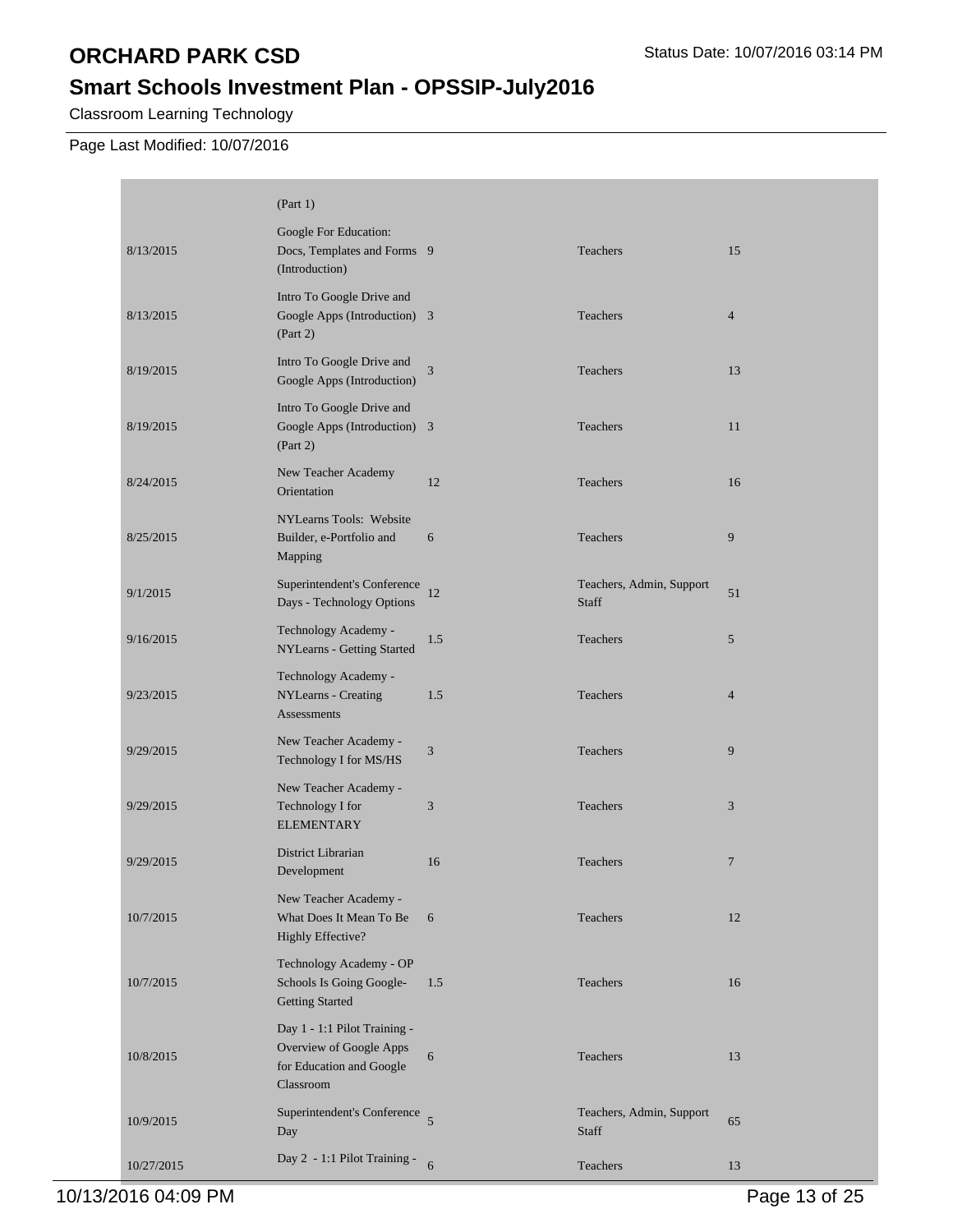# **Smart Schools Investment Plan - OPSSIP-July2016**

Classroom Learning Technology

Page Last Modified: 10/07/2016

|            | (Part 1)                                                                                         |                |                                   |                |
|------------|--------------------------------------------------------------------------------------------------|----------------|-----------------------------------|----------------|
| 8/13/2015  | Google For Education:<br>Docs, Templates and Forms 9<br>(Introduction)                           |                | Teachers                          | 15             |
| 8/13/2015  | Intro To Google Drive and<br>Google Apps (Introduction) 3<br>(Part 2)                            |                | Teachers                          | $\overline{4}$ |
| 8/19/2015  | Intro To Google Drive and<br>Google Apps (Introduction)                                          | 3              | Teachers                          | 13             |
| 8/19/2015  | Intro To Google Drive and<br>Google Apps (Introduction) 3<br>(Part 2)                            |                | Teachers                          | 11             |
| 8/24/2015  | New Teacher Academy<br>Orientation                                                               | 12             | Teachers                          | 16             |
| 8/25/2015  | NYLearns Tools: Website<br>Builder, e-Portfolio and<br>Mapping                                   | 6              | <b>Teachers</b>                   | 9              |
| 9/1/2015   | Superintendent's Conference<br>Days - Technology Options                                         | 12             | Teachers, Admin, Support<br>Staff | 51             |
| 9/16/2015  | Technology Academy -<br>NYLearns - Getting Started                                               | 1.5            | <b>Teachers</b>                   | 5              |
| 9/23/2015  | Technology Academy -<br>NYLearns - Creating<br>Assessments                                       | 1.5            | Teachers                          | $\overline{4}$ |
| 9/29/2015  | New Teacher Academy -<br>Technology I for MS/HS                                                  | 3              | Teachers                          | 9              |
| 9/29/2015  | New Teacher Academy -<br>Technology I for<br><b>ELEMENTARY</b>                                   | 3              | Teachers                          | 3              |
| 9/29/2015  | District Librarian<br>Development                                                                | 16             | Teachers                          | $\overline{7}$ |
| 10/7/2015  | New Teacher Academy -<br>What Does It Mean To Be<br>Highly Effective?                            | 6              | Teachers                          | 12             |
| 10/7/2015  | Technology Academy - OP<br>Schools Is Going Google-<br><b>Getting Started</b>                    | 1.5            | Teachers                          | 16             |
| 10/8/2015  | Day 1 - 1:1 Pilot Training -<br>Overview of Google Apps<br>for Education and Google<br>Classroom | 6              | Teachers                          | 13             |
| 10/9/2015  | Superintendent's Conference<br>Day                                                               | $\overline{5}$ | Teachers, Admin, Support<br>Staff | 65             |
| 10/27/2015 | Day 2 - 1:1 Pilot Training -                                                                     | 6              | Teachers                          | 13             |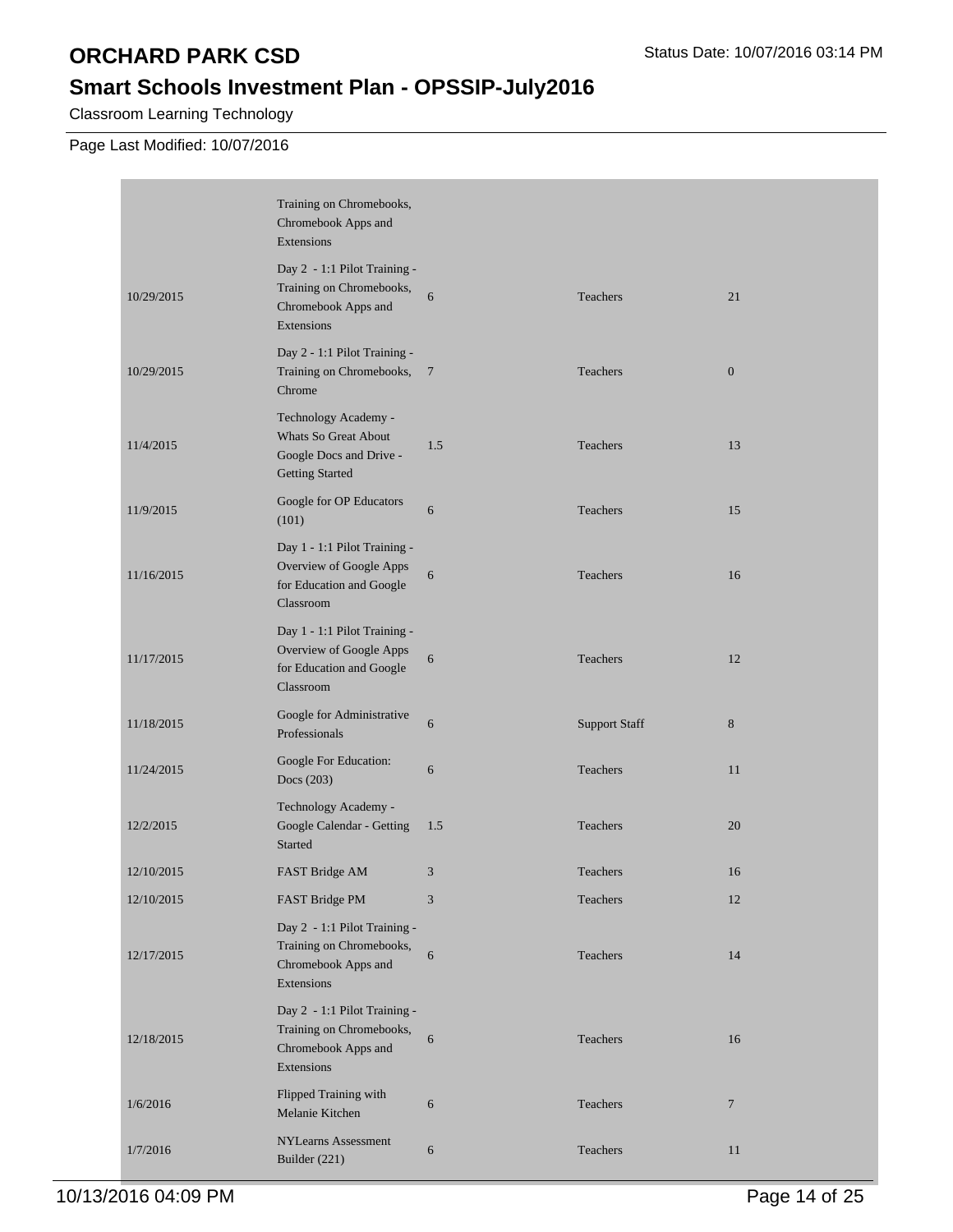# **Smart Schools Investment Plan - OPSSIP-July2016**

Classroom Learning Technology

Page Last Modified: 10/07/2016

|            | Training on Chromebooks,<br>Chromebook Apps and<br>Extensions                                     |                |                      |                  |
|------------|---------------------------------------------------------------------------------------------------|----------------|----------------------|------------------|
| 10/29/2015 | Day 2 - 1:1 Pilot Training -<br>Training on Chromebooks,<br>Chromebook Apps and<br>Extensions     | 6              | Teachers             | 21               |
| 10/29/2015 | Day 2 - 1:1 Pilot Training -<br>Training on Chromebooks,<br>Chrome                                | $\overline{7}$ | Teachers             | $\boldsymbol{0}$ |
| 11/4/2015  | Technology Academy -<br>Whats So Great About<br>Google Docs and Drive -<br><b>Getting Started</b> | 1.5            | Teachers             | 13               |
| 11/9/2015  | Google for OP Educators<br>(101)                                                                  | 6              | Teachers             | 15               |
| 11/16/2015 | Day 1 - 1:1 Pilot Training -<br>Overview of Google Apps<br>for Education and Google<br>Classroom  | 6              | Teachers             | 16               |
| 11/17/2015 | Day 1 - 1:1 Pilot Training -<br>Overview of Google Apps<br>for Education and Google<br>Classroom  | 6              | Teachers             | 12               |
| 11/18/2015 | Google for Administrative<br>Professionals                                                        | 6              | <b>Support Staff</b> | $8\phantom{1}$   |
| 11/24/2015 | Google For Education:<br>Docs (203)                                                               | 6              | Teachers             | 11               |
| 12/2/2015  | Technology Academy -<br>Google Calendar - Getting<br>Started                                      | 1.5            | Teachers             | 20               |
| 12/10/2015 | FAST Bridge AM                                                                                    | 3              | Teachers             | 16               |
| 12/10/2015 | FAST Bridge PM                                                                                    | 3              | Teachers             | 12               |
| 12/17/2015 | Day 2 - 1:1 Pilot Training -<br>Training on Chromebooks,<br>Chromebook Apps and<br>Extensions     | 6              | Teachers             | 14               |
| 12/18/2015 | Day 2 - 1:1 Pilot Training -<br>Training on Chromebooks,<br>Chromebook Apps and<br>Extensions     | 6              | Teachers             | 16               |
| 1/6/2016   | Flipped Training with<br>Melanie Kitchen                                                          | 6              | Teachers             | $\overline{7}$   |
| 1/7/2016   | <b>NYLearns Assessment</b><br>Builder (221)                                                       | 6              | Teachers             | 11               |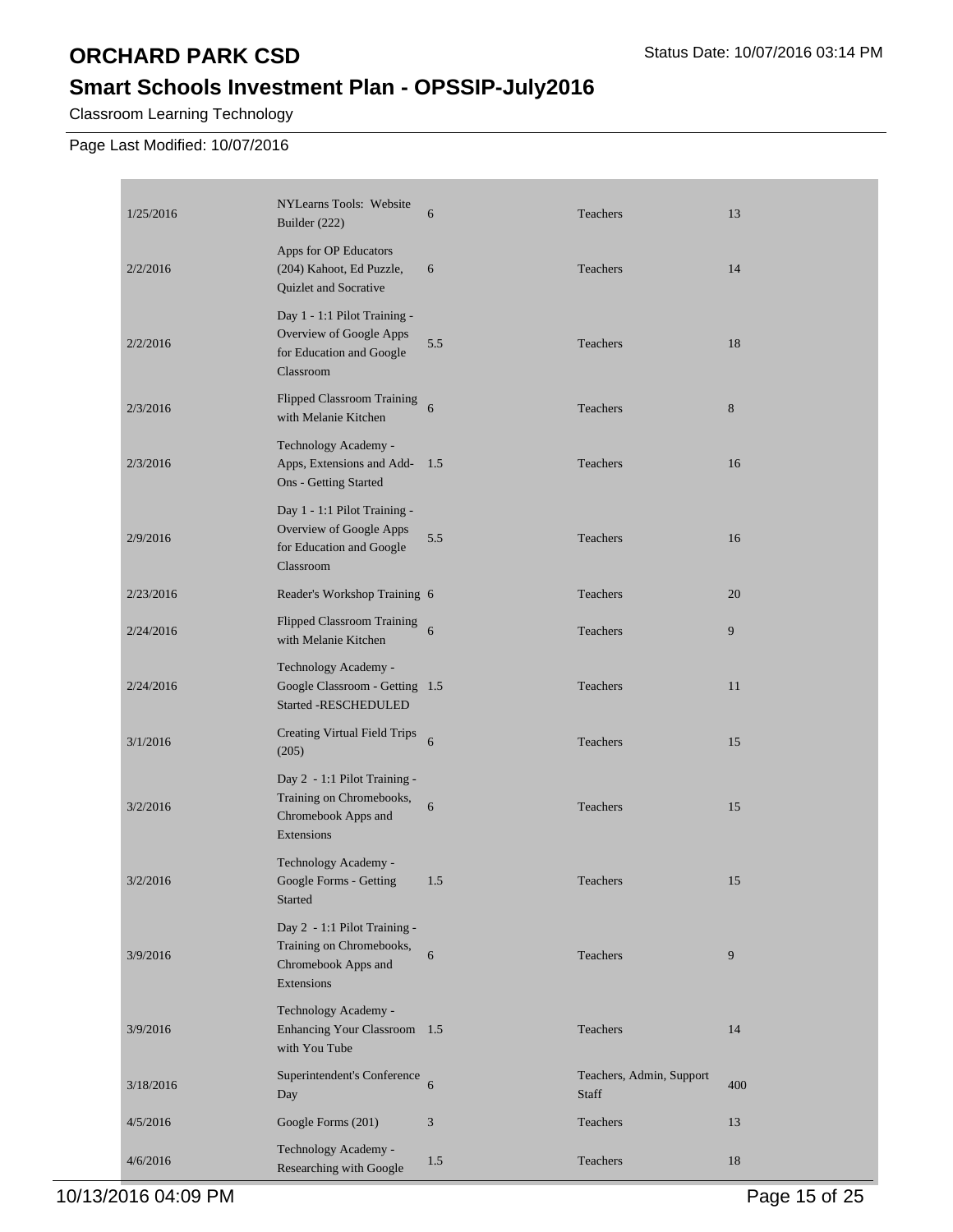# **Smart Schools Investment Plan - OPSSIP-July2016**

Classroom Learning Technology

Page Last Modified: 10/07/2016

| 1/25/2016 | NYLearns Tools: Website<br>Builder (222)                                                         | 6   | Teachers                          | 13    |
|-----------|--------------------------------------------------------------------------------------------------|-----|-----------------------------------|-------|
| 2/2/2016  | Apps for OP Educators<br>(204) Kahoot, Ed Puzzle,<br>Quizlet and Socrative                       | 6   | Teachers                          | 14    |
| 2/2/2016  | Day 1 - 1:1 Pilot Training -<br>Overview of Google Apps<br>for Education and Google<br>Classroom | 5.5 | Teachers                          | 18    |
| 2/3/2016  | Flipped Classroom Training<br>with Melanie Kitchen                                               | 6   | Teachers                          | $\,8$ |
| 2/3/2016  | Technology Academy -<br>Apps, Extensions and Add-<br>Ons - Getting Started                       | 1.5 | Teachers                          | 16    |
| 2/9/2016  | Day 1 - 1:1 Pilot Training -<br>Overview of Google Apps<br>for Education and Google<br>Classroom | 5.5 | Teachers                          | 16    |
| 2/23/2016 | Reader's Workshop Training 6                                                                     |     | Teachers                          | 20    |
| 2/24/2016 | Flipped Classroom Training<br>with Melanie Kitchen                                               | 6   | Teachers                          | 9     |
| 2/24/2016 | Technology Academy -<br>Google Classroom - Getting 1.5<br><b>Started -RESCHEDULED</b>            |     | Teachers                          | 11    |
| 3/1/2016  | <b>Creating Virtual Field Trips</b><br>(205)                                                     | 6   | Teachers                          | 15    |
| 3/2/2016  | Day 2 - 1:1 Pilot Training -<br>Training on Chromebooks,<br>Chromebook Apps and<br>Extensions    | 6   | Teachers                          | 15    |
| 3/2/2016  | Technology Academy -<br>Google Forms - Getting<br>Started                                        | 1.5 | Teachers                          | 15    |
| 3/9/2016  | Day 2 - 1:1 Pilot Training -<br>Training on Chromebooks,<br>Chromebook Apps and<br>Extensions    | 6   | Teachers                          | 9     |
| 3/9/2016  | Technology Academy -<br>Enhancing Your Classroom 1.5<br>with You Tube                            |     | Teachers                          | 14    |
| 3/18/2016 | Superintendent's Conference<br>Day                                                               | 6   | Teachers, Admin, Support<br>Staff | 400   |
| 4/5/2016  | Google Forms (201)                                                                               | 3   | Teachers                          | 13    |
| 4/6/2016  | Technology Academy -<br>Researching with Google                                                  | 1.5 | Teachers                          | 18    |

10/13/2016 04:09 PM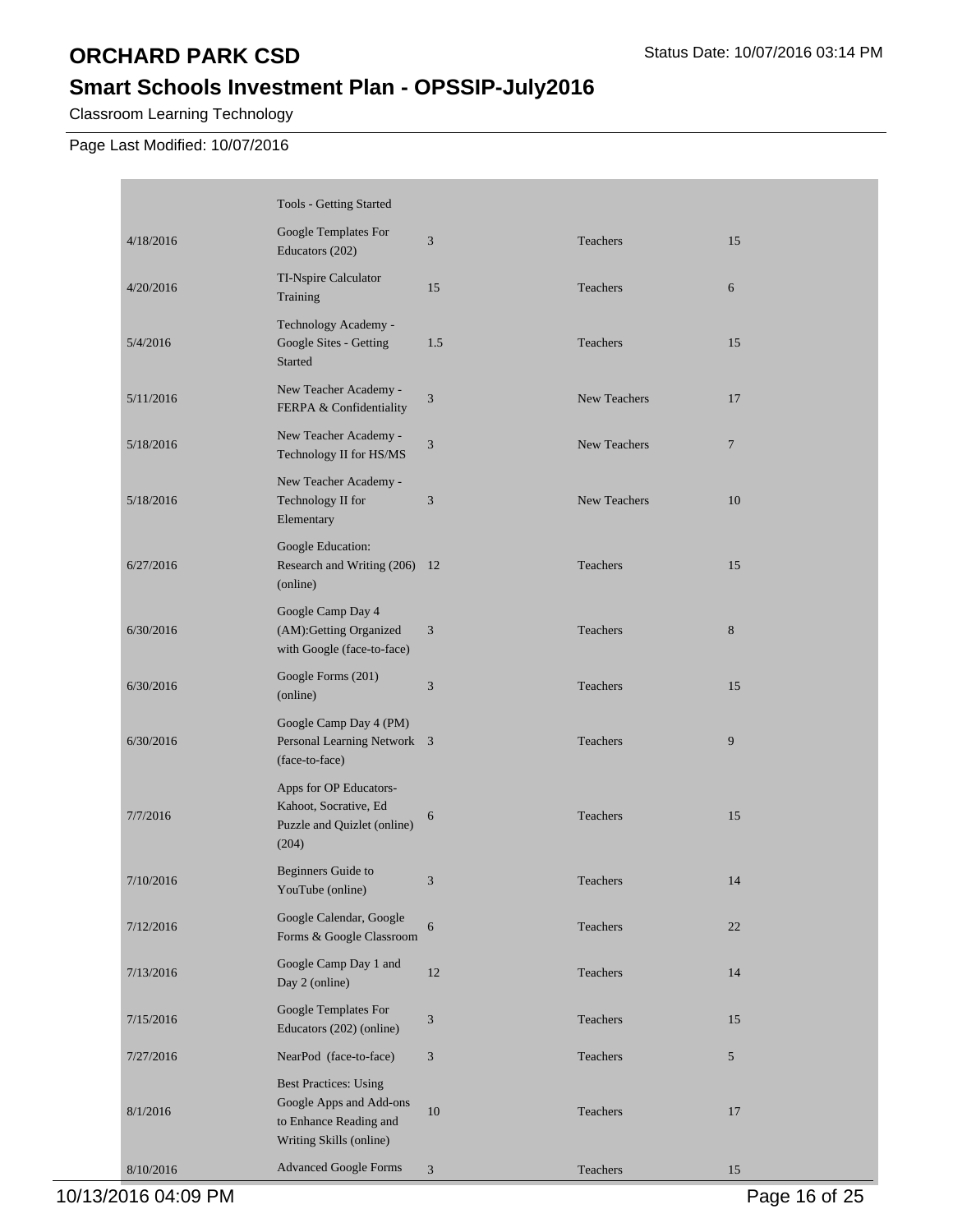# **Smart Schools Investment Plan - OPSSIP-July2016**

Classroom Learning Technology

Page Last Modified: 10/07/2016

П

|           | Tools - Getting Started                                                                                      |                             |                     |                |
|-----------|--------------------------------------------------------------------------------------------------------------|-----------------------------|---------------------|----------------|
| 4/18/2016 | Google Templates For<br>Educators (202)                                                                      | $\mathfrak{Z}$              | Teachers            | 15             |
| 4/20/2016 | TI-Nspire Calculator<br>Training                                                                             | 15                          | Teachers            | 6              |
| 5/4/2016  | Technology Academy -<br>Google Sites - Getting<br><b>Started</b>                                             | 1.5                         | Teachers            | 15             |
| 5/11/2016 | New Teacher Academy -<br>FERPA & Confidentiality                                                             | 3                           | <b>New Teachers</b> | 17             |
| 5/18/2016 | New Teacher Academy -<br>Technology II for HS/MS                                                             | $\mathfrak{Z}$              | New Teachers        | $\overline{7}$ |
| 5/18/2016 | New Teacher Academy -<br>Technology II for<br>Elementary                                                     | 3                           | New Teachers        | 10             |
| 6/27/2016 | Google Education:<br>Research and Writing (206) 12<br>(online)                                               |                             | Teachers            | 15             |
| 6/30/2016 | Google Camp Day 4<br>(AM):Getting Organized<br>with Google (face-to-face)                                    | 3                           | Teachers            | $8\phantom{1}$ |
| 6/30/2016 | Google Forms (201)<br>(online)                                                                               | 3                           | Teachers            | 15             |
| 6/30/2016 | Google Camp Day 4 (PM)<br>Personal Learning Network 3<br>(face-to-face)                                      |                             | Teachers            | 9              |
| 7/7/2016  | Apps for OP Educators-<br>Kahoot, Socrative, Ed<br>Puzzle and Quizlet (online)<br>(204)                      | 6                           | Teachers            | 15             |
| 7/10/2016 | Beginners Guide to<br>YouTube (online)                                                                       | 3                           | Teachers            | 14             |
| 7/12/2016 | Google Calendar, Google<br>Forms & Google Classroom                                                          | 6                           | Teachers            | 22             |
| 7/13/2016 | Google Camp Day 1 and<br>Day 2 (online)                                                                      | 12                          | Teachers            | 14             |
| 7/15/2016 | Google Templates For<br>Educators (202) (online)                                                             | $\ensuremath{\mathfrak{Z}}$ | Teachers            | 15             |
| 7/27/2016 | NearPod (face-to-face)                                                                                       | $\mathfrak{Z}$              | Teachers            | 5              |
| 8/1/2016  | <b>Best Practices: Using</b><br>Google Apps and Add-ons<br>to Enhance Reading and<br>Writing Skills (online) | $10\,$                      | Teachers            | 17             |
| 8/10/2016 | <b>Advanced Google Forms</b>                                                                                 | 3                           | Teachers            | 15             |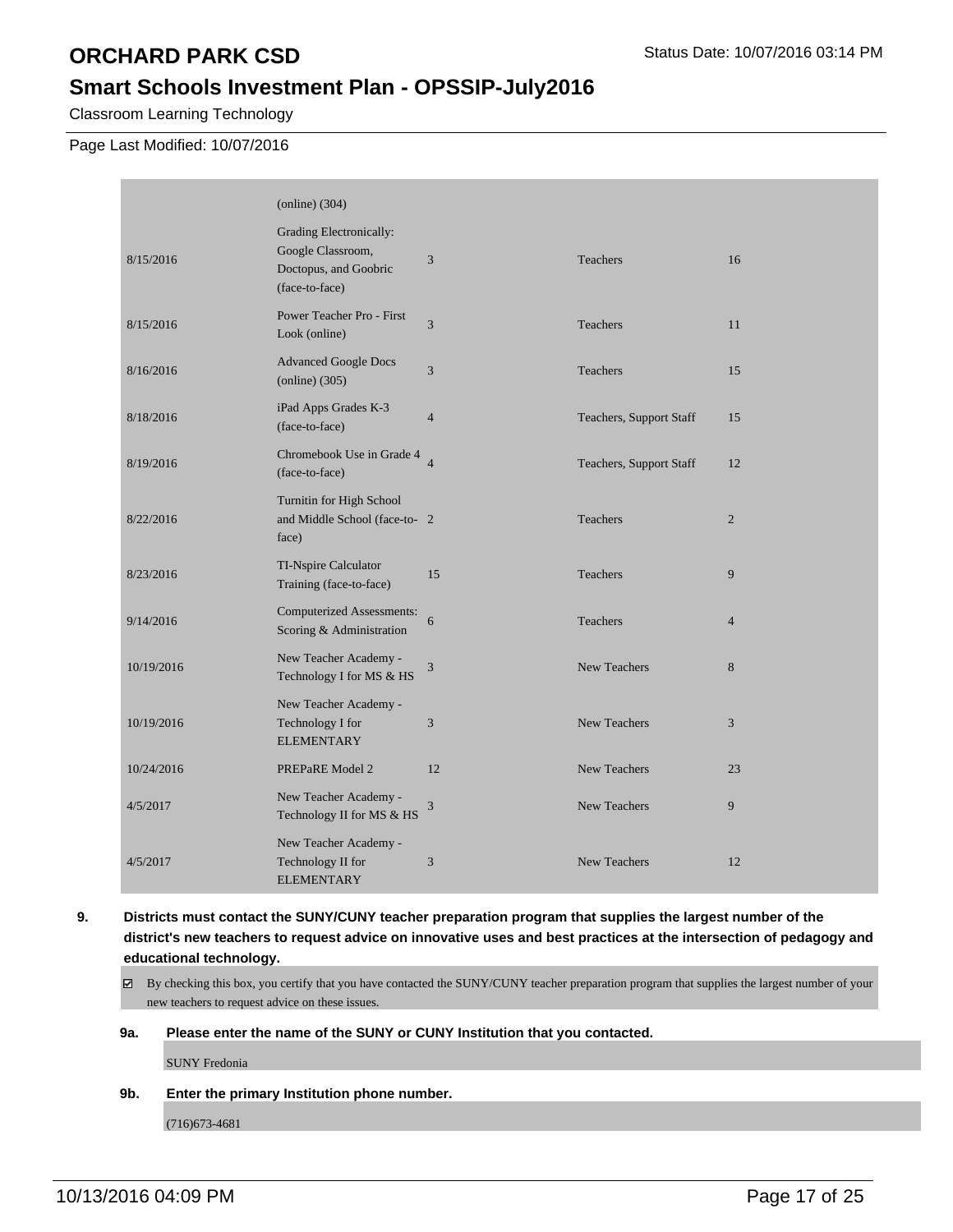## **Smart Schools Investment Plan - OPSSIP-July2016**

Classroom Learning Technology

Page Last Modified: 10/07/2016

|            | $\left($ online $\right)$ (304)                                                         |                |                         |                |
|------------|-----------------------------------------------------------------------------------------|----------------|-------------------------|----------------|
| 8/15/2016  | Grading Electronically:<br>Google Classroom,<br>Doctopus, and Goobric<br>(face-to-face) | 3              | Teachers                | 16             |
| 8/15/2016  | Power Teacher Pro - First<br>Look (online)                                              | 3              | <b>Teachers</b>         | 11             |
| 8/16/2016  | <b>Advanced Google Docs</b><br>$\text{(online)}\left(305\right)$                        | 3              | Teachers                | 15             |
| 8/18/2016  | iPad Apps Grades K-3<br>(face-to-face)                                                  | $\overline{4}$ | Teachers, Support Staff | 15             |
| 8/19/2016  | Chromebook Use in Grade 4<br>(face-to-face)                                             | $\overline{4}$ | Teachers, Support Staff | 12             |
| 8/22/2016  | Turnitin for High School<br>and Middle School (face-to- 2<br>face)                      |                | Teachers                | $\overline{2}$ |
| 8/23/2016  | TI-Nspire Calculator<br>Training (face-to-face)                                         | 15             | Teachers                | 9              |
| 9/14/2016  | <b>Computerized Assessments:</b><br>Scoring & Administration                            | 6              | Teachers                | $\overline{4}$ |
| 10/19/2016 | New Teacher Academy -<br>Technology I for MS & HS                                       | $\mathfrak{Z}$ | New Teachers            | 8              |
| 10/19/2016 | New Teacher Academy -<br>Technology I for<br><b>ELEMENTARY</b>                          | 3              | <b>New Teachers</b>     | 3              |
| 10/24/2016 | PREPaRE Model 2                                                                         | 12             | New Teachers            | 23             |
| 4/5/2017   | New Teacher Academy -<br>Technology II for MS & HS                                      | 3              | New Teachers            | 9              |
| 4/5/2017   | New Teacher Academy -<br>Technology II for<br><b>ELEMENTARY</b>                         | 3              | New Teachers            | 12             |

**9. Districts must contact the SUNY/CUNY teacher preparation program that supplies the largest number of the district's new teachers to request advice on innovative uses and best practices at the intersection of pedagogy and educational technology.**

By checking this box, you certify that you have contacted the SUNY/CUNY teacher preparation program that supplies the largest number of your new teachers to request advice on these issues.

#### **9a. Please enter the name of the SUNY or CUNY Institution that you contacted.**

SUNY Fredonia

**9b. Enter the primary Institution phone number.**

(716)673-4681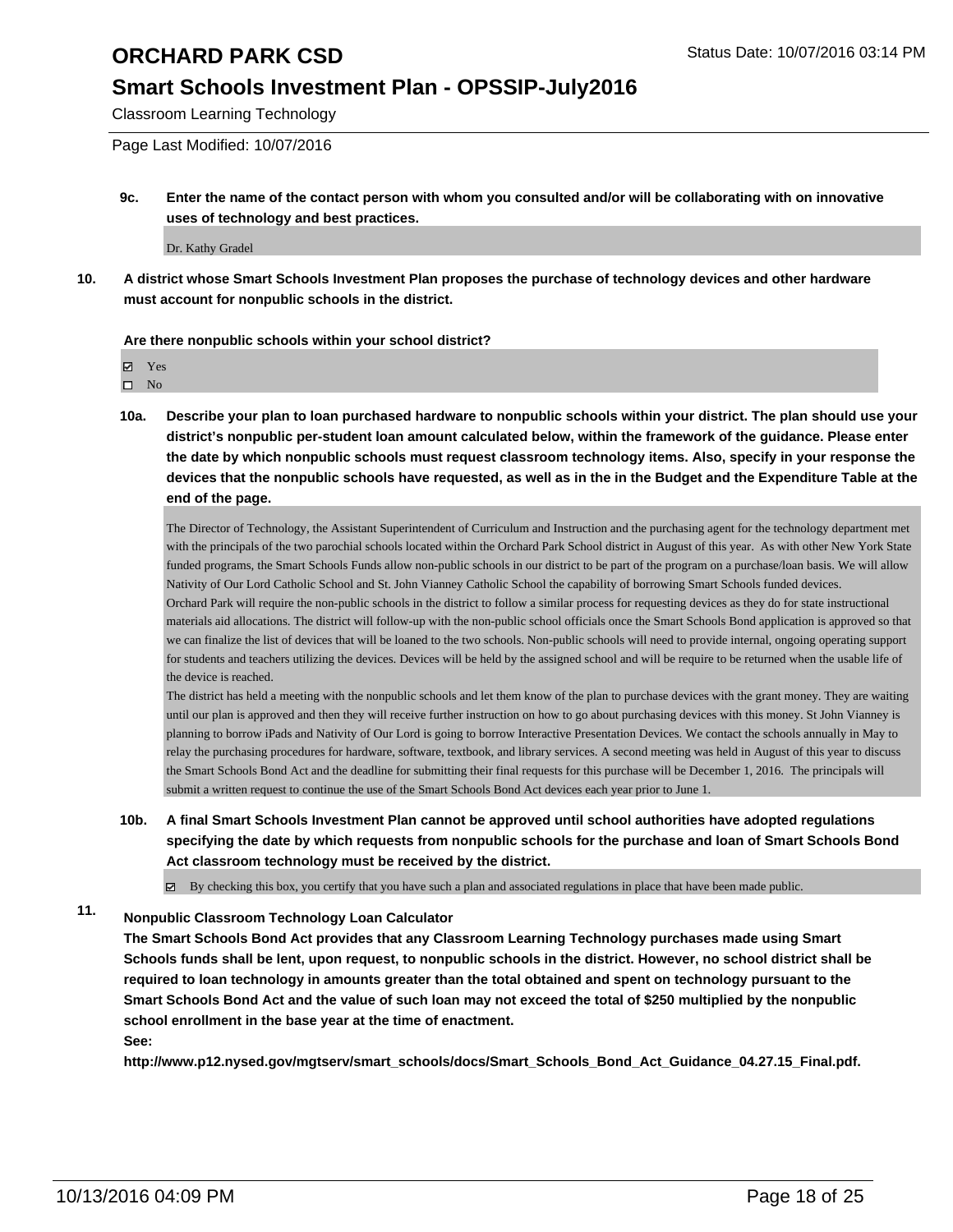## **Smart Schools Investment Plan - OPSSIP-July2016**

Classroom Learning Technology

Page Last Modified: 10/07/2016

**9c. Enter the name of the contact person with whom you consulted and/or will be collaborating with on innovative uses of technology and best practices.**

Dr. Kathy Gradel

**10. A district whose Smart Schools Investment Plan proposes the purchase of technology devices and other hardware must account for nonpublic schools in the district.**

#### **Are there nonpublic schools within your school district?**

Yes

 $\hfill \square$  No

**10a. Describe your plan to loan purchased hardware to nonpublic schools within your district. The plan should use your district's nonpublic per-student loan amount calculated below, within the framework of the guidance. Please enter the date by which nonpublic schools must request classroom technology items. Also, specify in your response the devices that the nonpublic schools have requested, as well as in the in the Budget and the Expenditure Table at the end of the page.**

The Director of Technology, the Assistant Superintendent of Curriculum and Instruction and the purchasing agent for the technology department met with the principals of the two parochial schools located within the Orchard Park School district in August of this year. As with other New York State funded programs, the Smart Schools Funds allow non-public schools in our district to be part of the program on a purchase/loan basis. We will allow Nativity of Our Lord Catholic School and St. John Vianney Catholic School the capability of borrowing Smart Schools funded devices.

Orchard Park will require the non-public schools in the district to follow a similar process for requesting devices as they do for state instructional materials aid allocations. The district will follow-up with the non-public school officials once the Smart Schools Bond application is approved so that we can finalize the list of devices that will be loaned to the two schools. Non-public schools will need to provide internal, ongoing operating support for students and teachers utilizing the devices. Devices will be held by the assigned school and will be require to be returned when the usable life of the device is reached.

The district has held a meeting with the nonpublic schools and let them know of the plan to purchase devices with the grant money. They are waiting until our plan is approved and then they will receive further instruction on how to go about purchasing devices with this money. St John Vianney is planning to borrow iPads and Nativity of Our Lord is going to borrow Interactive Presentation Devices. We contact the schools annually in May to relay the purchasing procedures for hardware, software, textbook, and library services. A second meeting was held in August of this year to discuss the Smart Schools Bond Act and the deadline for submitting their final requests for this purchase will be December 1, 2016. The principals will submit a written request to continue the use of the Smart Schools Bond Act devices each year prior to June 1.

**10b. A final Smart Schools Investment Plan cannot be approved until school authorities have adopted regulations specifying the date by which requests from nonpublic schools for the purchase and loan of Smart Schools Bond Act classroom technology must be received by the district.**

 $\overline{\mathbf{z}}$ By checking this box, you certify that you have such a plan and associated regulations in place that have been made public.

#### **11. Nonpublic Classroom Technology Loan Calculator**

**The Smart Schools Bond Act provides that any Classroom Learning Technology purchases made using Smart Schools funds shall be lent, upon request, to nonpublic schools in the district. However, no school district shall be required to loan technology in amounts greater than the total obtained and spent on technology pursuant to the Smart Schools Bond Act and the value of such loan may not exceed the total of \$250 multiplied by the nonpublic school enrollment in the base year at the time of enactment.**

**See:**

**http://www.p12.nysed.gov/mgtserv/smart\_schools/docs/Smart\_Schools\_Bond\_Act\_Guidance\_04.27.15\_Final.pdf.**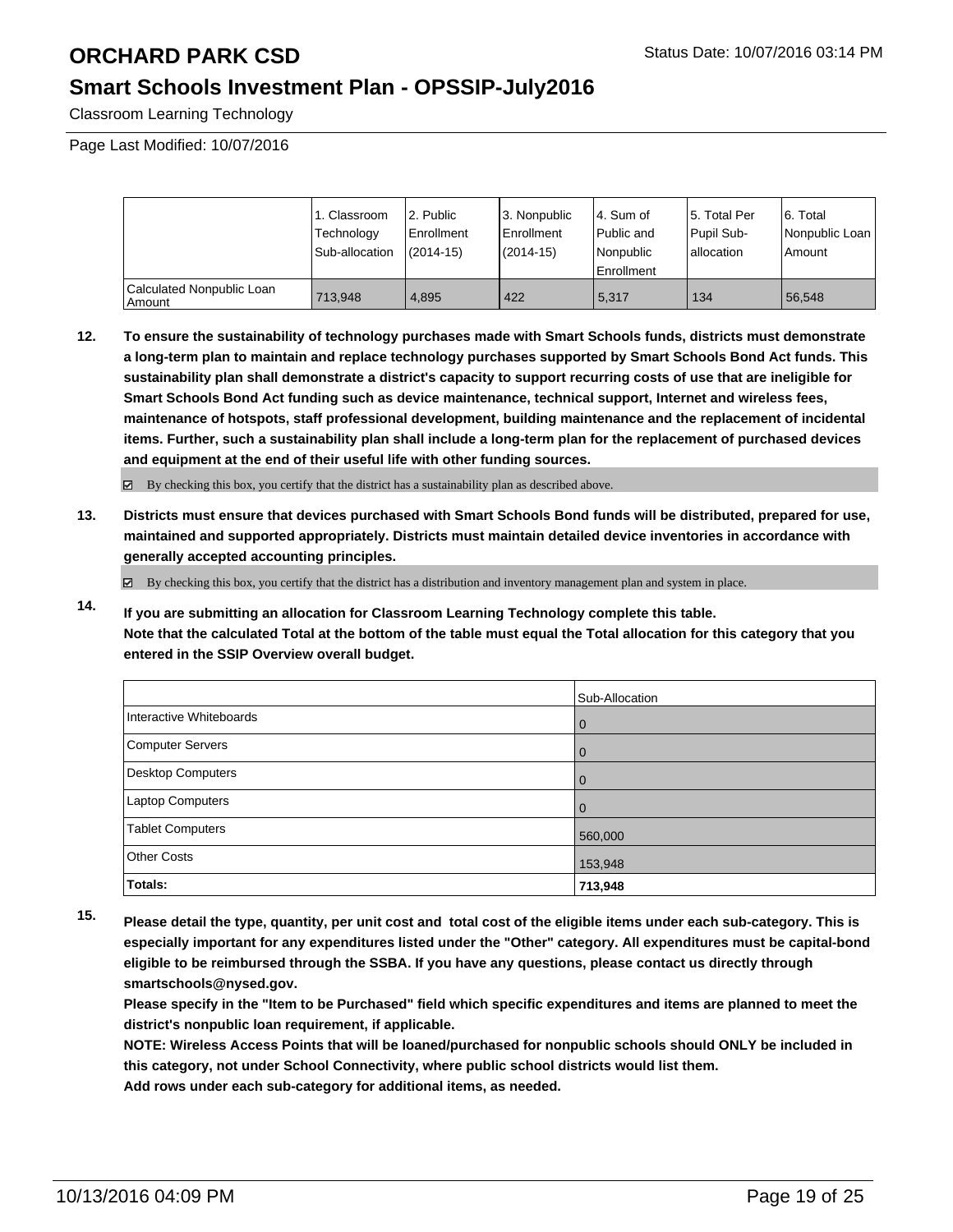## **Smart Schools Investment Plan - OPSSIP-July2016**

Classroom Learning Technology

Page Last Modified: 10/07/2016

|                                     | 1. Classroom<br>Technology<br>Sub-allocation | 2. Public<br>l Enrollment<br>$(2014 - 15)$ | l 3. Nonpublic<br><b>Enrollment</b><br>(2014-15) | 4. Sum of<br>l Public and<br>Nonpublic<br><b>Enrollment</b> | 15. Total Per<br>Pupil Sub-<br>Iallocation | 6. Total<br>Nonpublic Loan<br>Amount |
|-------------------------------------|----------------------------------------------|--------------------------------------------|--------------------------------------------------|-------------------------------------------------------------|--------------------------------------------|--------------------------------------|
| Calculated Nonpublic Loan<br>Amount | 713.948                                      | 4.895                                      | 422                                              | 5.317                                                       | 134                                        | 56.548                               |

**12. To ensure the sustainability of technology purchases made with Smart Schools funds, districts must demonstrate a long-term plan to maintain and replace technology purchases supported by Smart Schools Bond Act funds. This sustainability plan shall demonstrate a district's capacity to support recurring costs of use that are ineligible for Smart Schools Bond Act funding such as device maintenance, technical support, Internet and wireless fees, maintenance of hotspots, staff professional development, building maintenance and the replacement of incidental items. Further, such a sustainability plan shall include a long-term plan for the replacement of purchased devices and equipment at the end of their useful life with other funding sources.**

 $\boxtimes$  By checking this box, you certify that the district has a sustainability plan as described above.

**13. Districts must ensure that devices purchased with Smart Schools Bond funds will be distributed, prepared for use, maintained and supported appropriately. Districts must maintain detailed device inventories in accordance with generally accepted accounting principles.**

By checking this box, you certify that the district has a distribution and inventory management plan and system in place.

**14. If you are submitting an allocation for Classroom Learning Technology complete this table. Note that the calculated Total at the bottom of the table must equal the Total allocation for this category that you entered in the SSIP Overview overall budget.**

|                          | Sub-Allocation |
|--------------------------|----------------|
| Interactive Whiteboards  | $\overline{0}$ |
| <b>Computer Servers</b>  | $\overline{0}$ |
| <b>Desktop Computers</b> | $\overline{0}$ |
| Laptop Computers         | $\Omega$       |
| Tablet Computers         | 560,000        |
| <b>Other Costs</b>       | 153,948        |
| Totals:                  | 713,948        |

**15. Please detail the type, quantity, per unit cost and total cost of the eligible items under each sub-category. This is especially important for any expenditures listed under the "Other" category. All expenditures must be capital-bond eligible to be reimbursed through the SSBA. If you have any questions, please contact us directly through smartschools@nysed.gov.**

**Please specify in the "Item to be Purchased" field which specific expenditures and items are planned to meet the district's nonpublic loan requirement, if applicable.**

**NOTE: Wireless Access Points that will be loaned/purchased for nonpublic schools should ONLY be included in this category, not under School Connectivity, where public school districts would list them. Add rows under each sub-category for additional items, as needed.**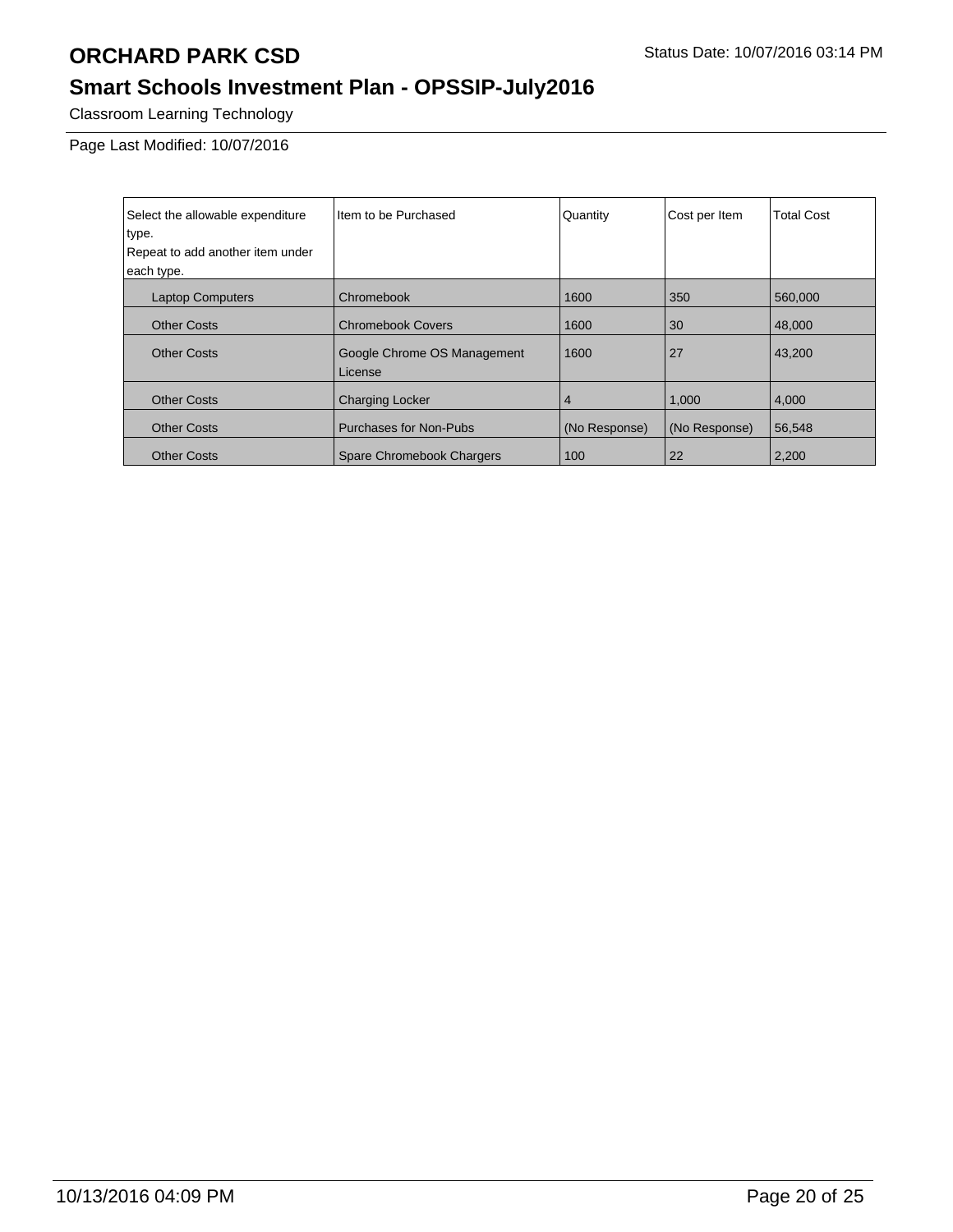# **Smart Schools Investment Plan - OPSSIP-July2016**

Classroom Learning Technology

Page Last Modified: 10/07/2016

| Select the allowable expenditure | Item to be Purchased                   | Quantity      | Cost per Item | <b>Total Cost</b> |
|----------------------------------|----------------------------------------|---------------|---------------|-------------------|
| type.                            |                                        |               |               |                   |
| Repeat to add another item under |                                        |               |               |                   |
| each type.                       |                                        |               |               |                   |
| <b>Laptop Computers</b>          | Chromebook                             | 1600          | 350           | 560,000           |
| <b>Other Costs</b>               | <b>Chromebook Covers</b>               | 1600          | 30            | 48,000            |
| <b>Other Costs</b>               | Google Chrome OS Management<br>License | 1600          | 27            | 43,200            |
| <b>Other Costs</b>               | <b>Charging Locker</b>                 | 4             | 1,000         | 4,000             |
| <b>Other Costs</b>               | Purchases for Non-Pubs                 | (No Response) | (No Response) | 56,548            |
| <b>Other Costs</b>               | Spare Chromebook Chargers              | 100           | 22            | 2,200             |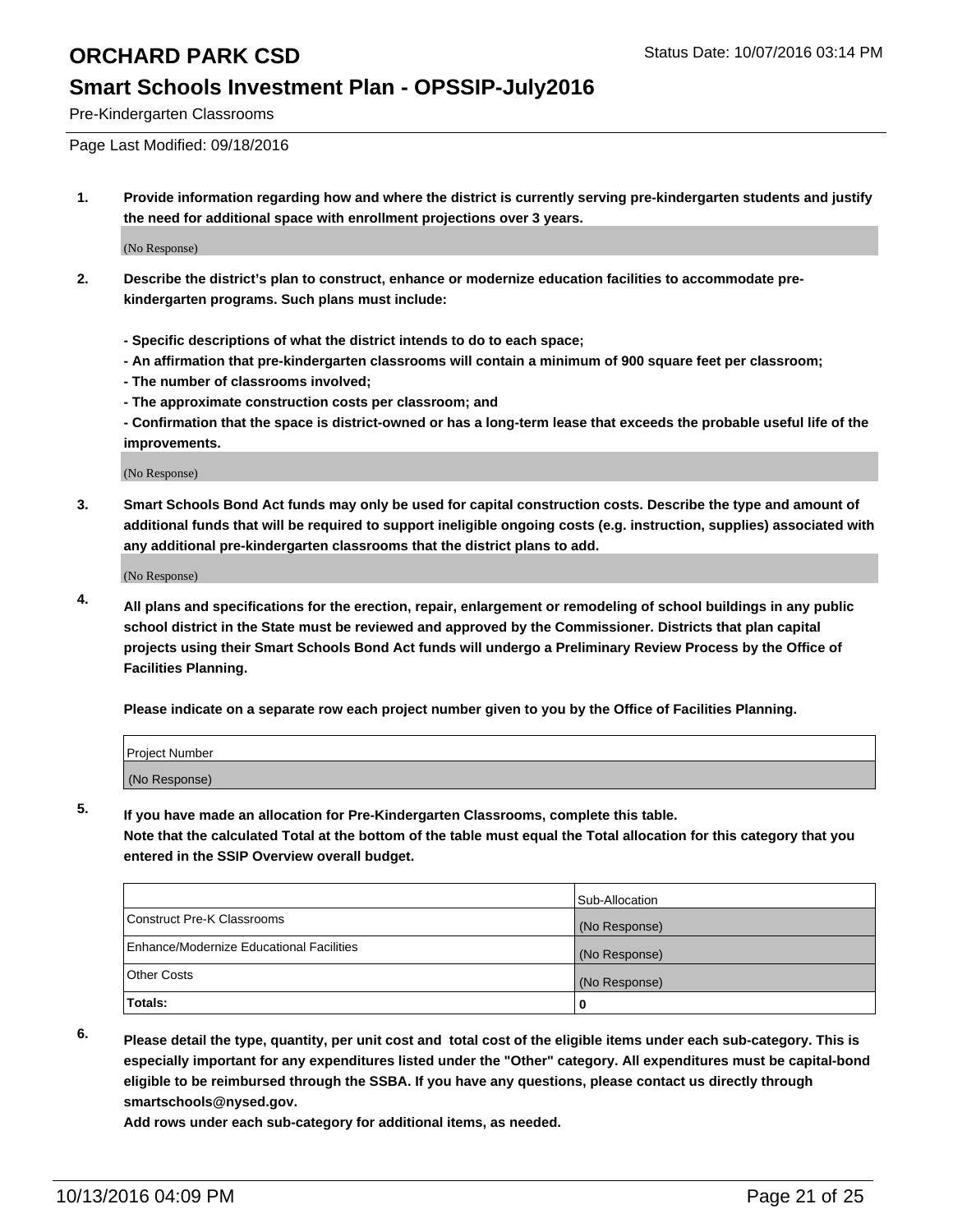### **Smart Schools Investment Plan - OPSSIP-July2016**

Pre-Kindergarten Classrooms

Page Last Modified: 09/18/2016

**1. Provide information regarding how and where the district is currently serving pre-kindergarten students and justify the need for additional space with enrollment projections over 3 years.**

(No Response)

- **2. Describe the district's plan to construct, enhance or modernize education facilities to accommodate prekindergarten programs. Such plans must include:**
	- **Specific descriptions of what the district intends to do to each space;**
	- **An affirmation that pre-kindergarten classrooms will contain a minimum of 900 square feet per classroom;**
	- **The number of classrooms involved;**
	- **The approximate construction costs per classroom; and**
	- **Confirmation that the space is district-owned or has a long-term lease that exceeds the probable useful life of the improvements.**

(No Response)

**3. Smart Schools Bond Act funds may only be used for capital construction costs. Describe the type and amount of additional funds that will be required to support ineligible ongoing costs (e.g. instruction, supplies) associated with any additional pre-kindergarten classrooms that the district plans to add.**

(No Response)

**4. All plans and specifications for the erection, repair, enlargement or remodeling of school buildings in any public school district in the State must be reviewed and approved by the Commissioner. Districts that plan capital projects using their Smart Schools Bond Act funds will undergo a Preliminary Review Process by the Office of Facilities Planning.**

**Please indicate on a separate row each project number given to you by the Office of Facilities Planning.**

| Project Number |  |
|----------------|--|
| (No Response)  |  |

**5. If you have made an allocation for Pre-Kindergarten Classrooms, complete this table.**

**Note that the calculated Total at the bottom of the table must equal the Total allocation for this category that you entered in the SSIP Overview overall budget.**

|                                          | Sub-Allocation |
|------------------------------------------|----------------|
| Construct Pre-K Classrooms               | (No Response)  |
| Enhance/Modernize Educational Facilities | (No Response)  |
| Other Costs                              | (No Response)  |
| Totals:                                  |                |

**6. Please detail the type, quantity, per unit cost and total cost of the eligible items under each sub-category. This is especially important for any expenditures listed under the "Other" category. All expenditures must be capital-bond eligible to be reimbursed through the SSBA. If you have any questions, please contact us directly through smartschools@nysed.gov.**

**Add rows under each sub-category for additional items, as needed.**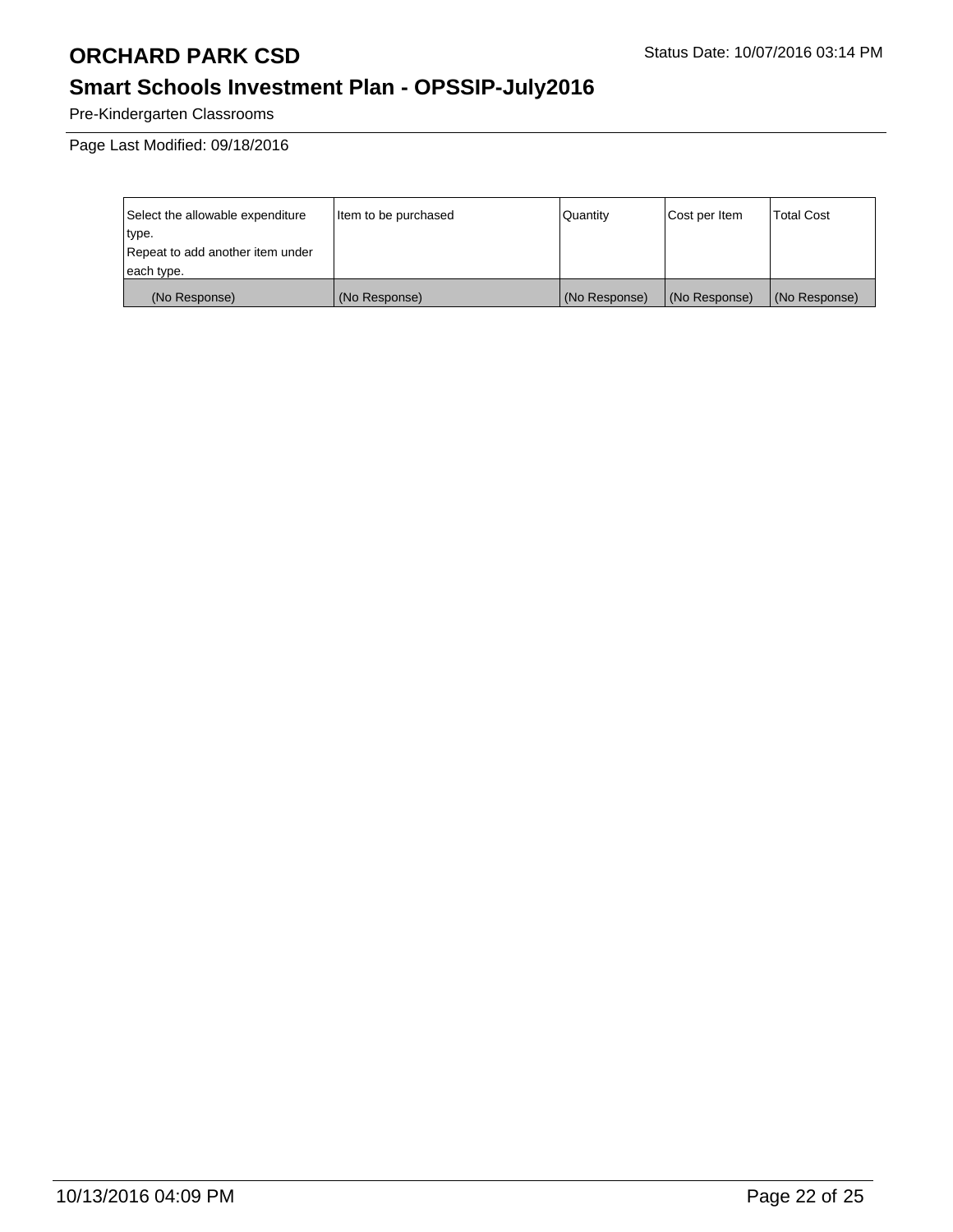# **Smart Schools Investment Plan - OPSSIP-July2016**

Pre-Kindergarten Classrooms

Page Last Modified: 09/18/2016

| Select the allowable expenditure | Item to be purchased | Quantity      | Cost per Item | <b>Total Cost</b> |
|----------------------------------|----------------------|---------------|---------------|-------------------|
| type.                            |                      |               |               |                   |
| Repeat to add another item under |                      |               |               |                   |
| each type.                       |                      |               |               |                   |
| (No Response)                    | (No Response)        | (No Response) | (No Response) | (No Response)     |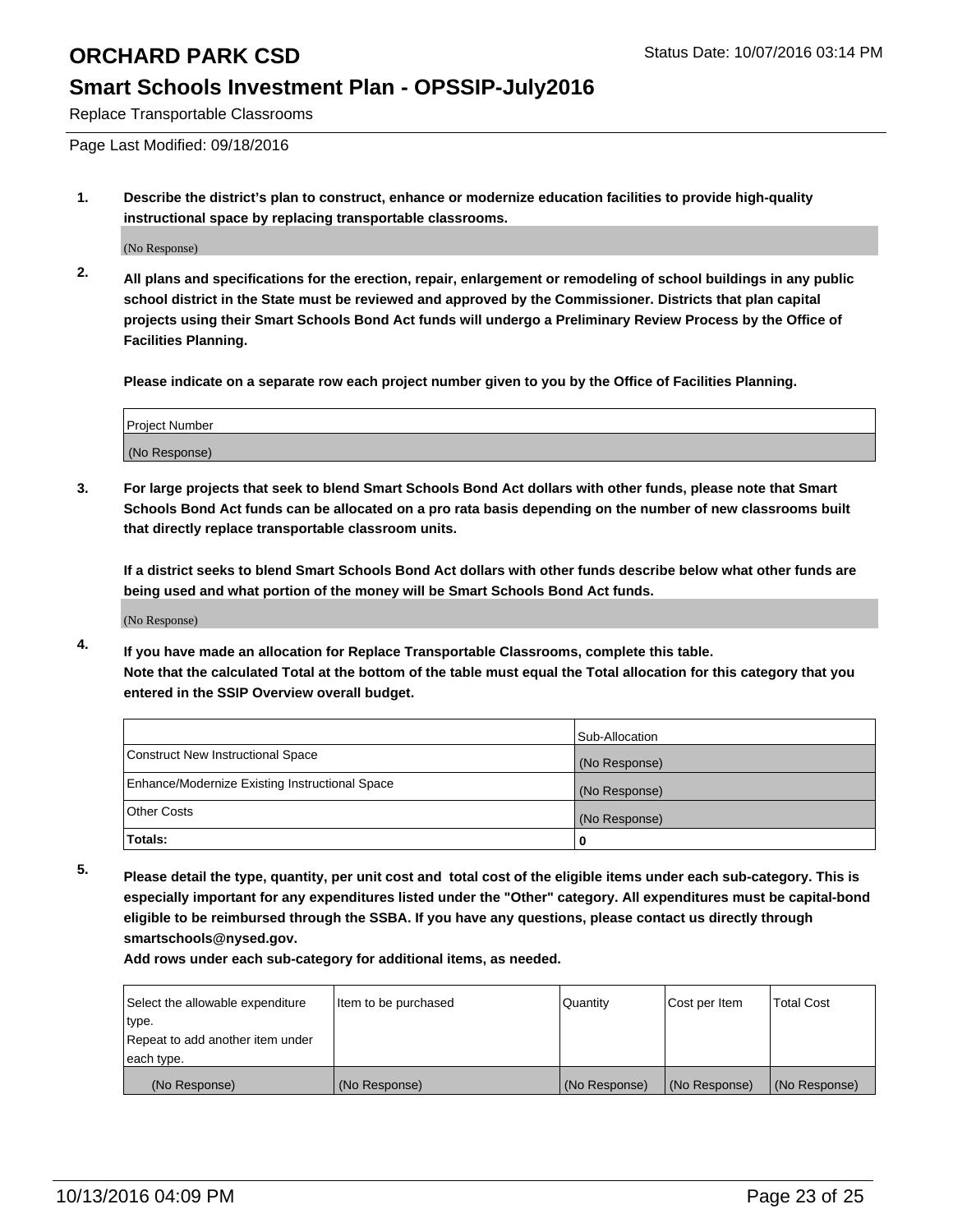### **Smart Schools Investment Plan - OPSSIP-July2016**

Replace Transportable Classrooms

Page Last Modified: 09/18/2016

**1. Describe the district's plan to construct, enhance or modernize education facilities to provide high-quality instructional space by replacing transportable classrooms.**

(No Response)

**2. All plans and specifications for the erection, repair, enlargement or remodeling of school buildings in any public school district in the State must be reviewed and approved by the Commissioner. Districts that plan capital projects using their Smart Schools Bond Act funds will undergo a Preliminary Review Process by the Office of Facilities Planning.**

**Please indicate on a separate row each project number given to you by the Office of Facilities Planning.**

| Project Number |  |
|----------------|--|
| (No Response)  |  |

**3. For large projects that seek to blend Smart Schools Bond Act dollars with other funds, please note that Smart Schools Bond Act funds can be allocated on a pro rata basis depending on the number of new classrooms built that directly replace transportable classroom units.**

**If a district seeks to blend Smart Schools Bond Act dollars with other funds describe below what other funds are being used and what portion of the money will be Smart Schools Bond Act funds.**

(No Response)

**4. If you have made an allocation for Replace Transportable Classrooms, complete this table. Note that the calculated Total at the bottom of the table must equal the Total allocation for this category that you entered in the SSIP Overview overall budget.**

|                                                | Sub-Allocation |
|------------------------------------------------|----------------|
| Construct New Instructional Space              | (No Response)  |
| Enhance/Modernize Existing Instructional Space | (No Response)  |
| Other Costs                                    | (No Response)  |
| Totals:                                        | o              |

**5. Please detail the type, quantity, per unit cost and total cost of the eligible items under each sub-category. This is especially important for any expenditures listed under the "Other" category. All expenditures must be capital-bond eligible to be reimbursed through the SSBA. If you have any questions, please contact us directly through smartschools@nysed.gov.**

**Add rows under each sub-category for additional items, as needed.**

| Select the allowable expenditure | Item to be purchased | Quantity      | Cost per Item | Total Cost    |
|----------------------------------|----------------------|---------------|---------------|---------------|
| type.                            |                      |               |               |               |
| Repeat to add another item under |                      |               |               |               |
| each type.                       |                      |               |               |               |
| (No Response)                    | (No Response)        | (No Response) | (No Response) | (No Response) |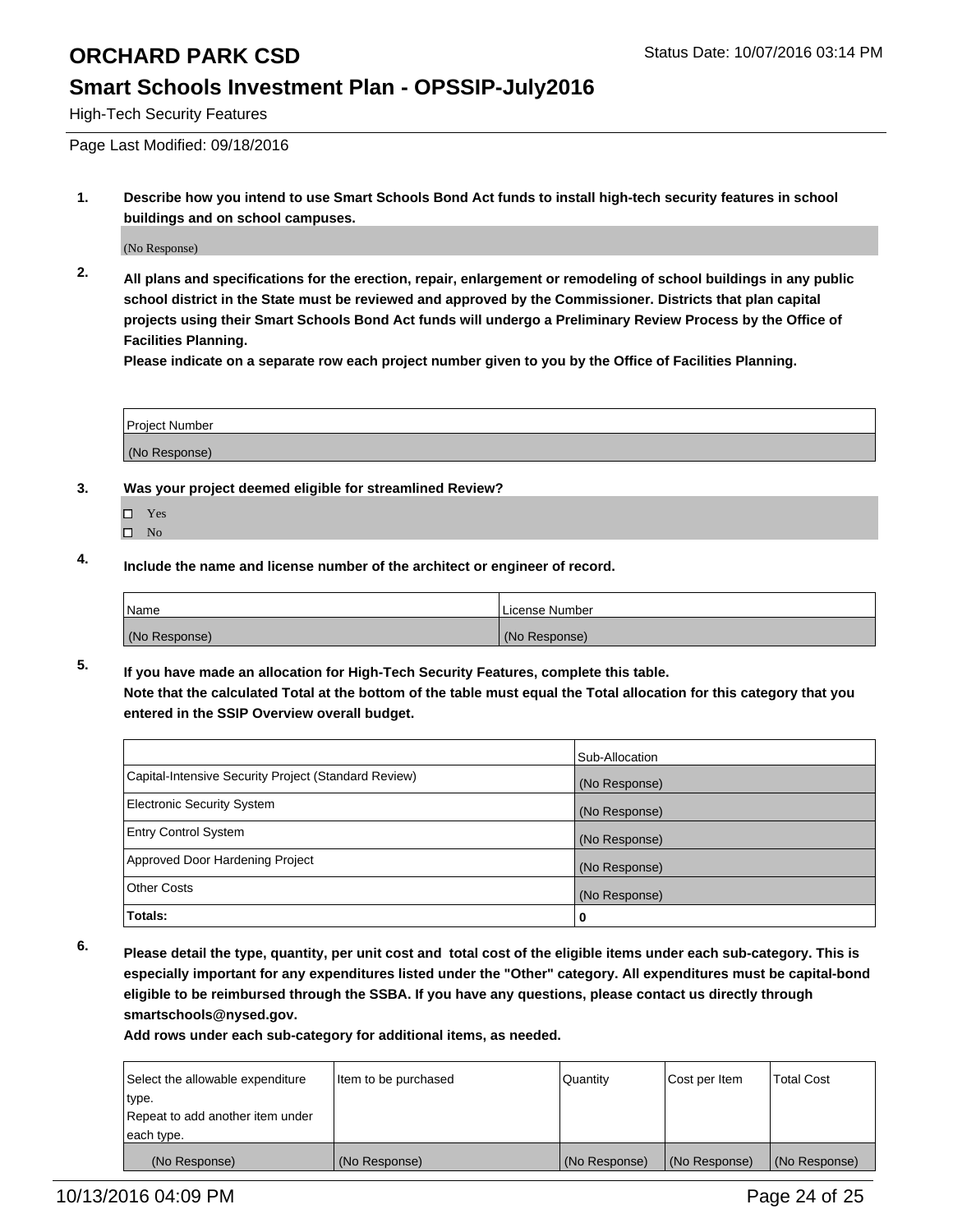## **Smart Schools Investment Plan - OPSSIP-July2016**

High-Tech Security Features

Page Last Modified: 09/18/2016

**1. Describe how you intend to use Smart Schools Bond Act funds to install high-tech security features in school buildings and on school campuses.**

(No Response)

**2. All plans and specifications for the erection, repair, enlargement or remodeling of school buildings in any public school district in the State must be reviewed and approved by the Commissioner. Districts that plan capital projects using their Smart Schools Bond Act funds will undergo a Preliminary Review Process by the Office of Facilities Planning.** 

**Please indicate on a separate row each project number given to you by the Office of Facilities Planning.**

| <b>Project Number</b> |  |
|-----------------------|--|
| (No Response)         |  |

- **3. Was your project deemed eligible for streamlined Review?**
	- □ Yes
	- $\square$  No
- **4. Include the name and license number of the architect or engineer of record.**

| Name          | License Number |
|---------------|----------------|
| (No Response) | (No Response)  |

**5. If you have made an allocation for High-Tech Security Features, complete this table. Note that the calculated Total at the bottom of the table must equal the Total allocation for this category that you entered in the SSIP Overview overall budget.**

|                                                      | Sub-Allocation |
|------------------------------------------------------|----------------|
| Capital-Intensive Security Project (Standard Review) | (No Response)  |
| <b>Electronic Security System</b>                    | (No Response)  |
| <b>Entry Control System</b>                          | (No Response)  |
| Approved Door Hardening Project                      | (No Response)  |
| <b>Other Costs</b>                                   | (No Response)  |
| Totals:                                              | 0              |

**6. Please detail the type, quantity, per unit cost and total cost of the eligible items under each sub-category. This is especially important for any expenditures listed under the "Other" category. All expenditures must be capital-bond eligible to be reimbursed through the SSBA. If you have any questions, please contact us directly through smartschools@nysed.gov.**

**Add rows under each sub-category for additional items, as needed.**

| Select the allowable expenditure | Item to be purchased | Quantity      | Cost per Item | <b>Total Cost</b> |
|----------------------------------|----------------------|---------------|---------------|-------------------|
| type.                            |                      |               |               |                   |
| Repeat to add another item under |                      |               |               |                   |
| each type.                       |                      |               |               |                   |
| (No Response)                    | (No Response)        | (No Response) | (No Response) | (No Response)     |